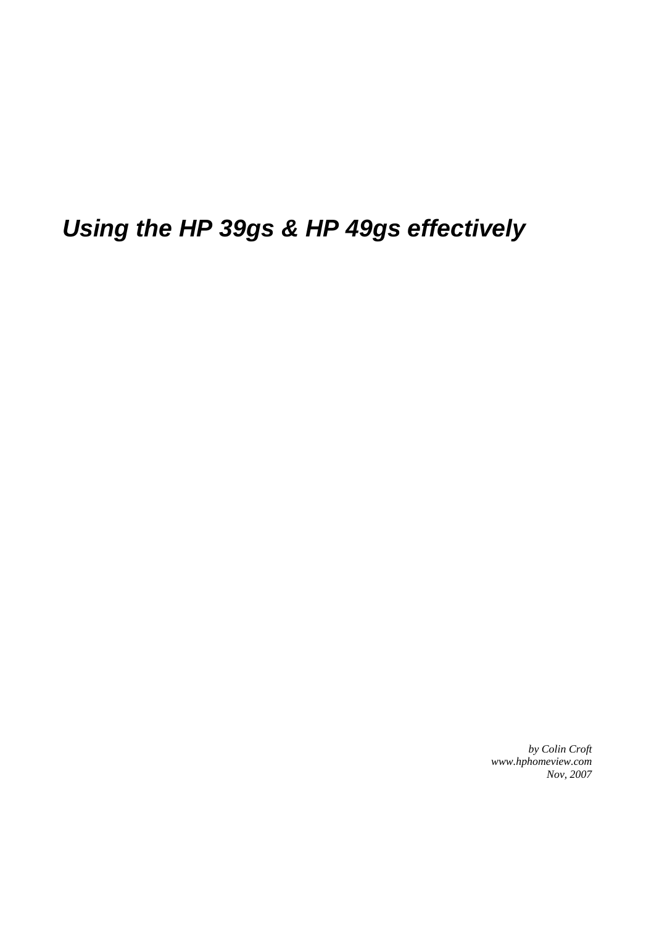# *Using the HP 39gs & HP 49gs effectively*

*by Colin Croft www.hphomeview.com Nov, 2007*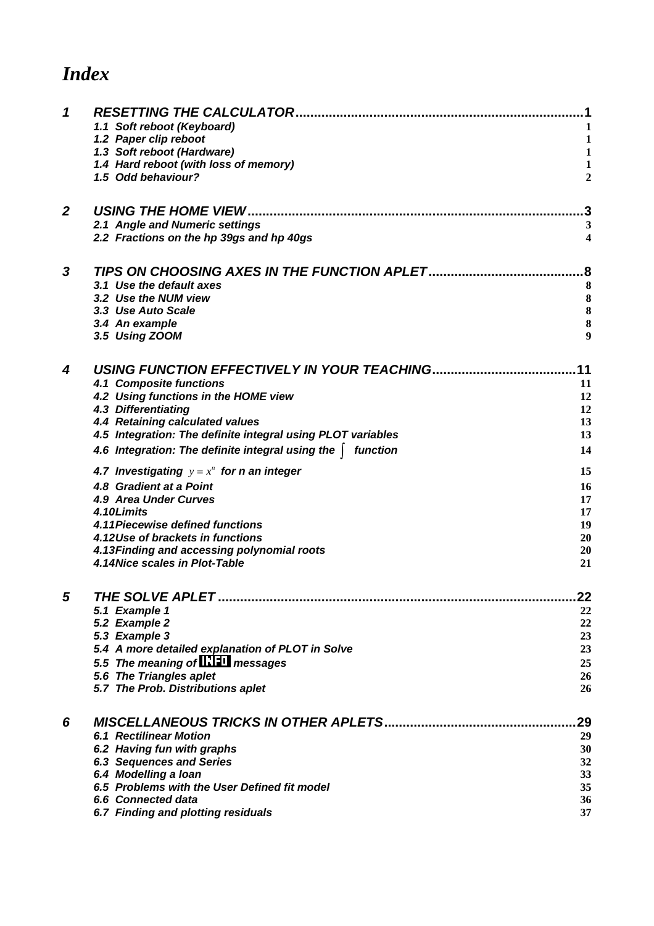## *Index*

| 1            | <b>RESETTING THE CALCULATOR</b>                                      |                |
|--------------|----------------------------------------------------------------------|----------------|
|              | 1.1 Soft reboot (Keyboard)                                           |                |
|              | 1.2 Paper clip reboot                                                | 1              |
|              | 1.3 Soft reboot (Hardware)                                           | $\mathbf{1}$   |
|              | 1.4 Hard reboot (with loss of memory)                                | $\mathbf{1}$   |
|              | 1.5 Odd behaviour?                                                   | $\overline{2}$ |
| $\mathbf{2}$ | <b>USING THE HOME VIEW</b>                                           |                |
|              | 2.1 Angle and Numeric settings                                       | 3              |
|              | 2.2 Fractions on the hp 39gs and hp 40gs                             | 4              |
| 3            | TIPS ON CHOOSING AXES IN THE FUNCTION APLET                          | 8              |
|              | 3.1 Use the default axes                                             | 8              |
|              | 3.2 Use the NUM view                                                 | 8              |
|              | 3.3 Use Auto Scale                                                   | 8              |
|              | 3.4 An example                                                       | 8              |
|              | 3.5 Using ZOOM                                                       | 9              |
| 4            | USING FUNCTION EFFECTIVELY IN YOUR TEACHING.                         | 11             |
|              | 4.1 Composite functions                                              | 11             |
|              | 4.2 Using functions in the HOME view                                 | 12             |
|              | 4.3 Differentiating                                                  | 12             |
|              | 4.4 Retaining calculated values                                      | 13             |
|              | 4.5 Integration: The definite integral using PLOT variables          | 13             |
|              | 4.6 Integration: The definite integral using the  <br>function       | 14             |
|              | 4.7 Investigating $y = x^n$ for n an integer                         | 15             |
|              | 4.8 Gradient at a Point                                              | 16             |
|              | 4.9 Area Under Curves                                                | 17             |
|              | 4.10Limits                                                           | 17             |
|              | 4.11 Piecewise defined functions<br>4.12Use of brackets in functions | 19<br>20       |
|              | 4.13 Finding and accessing polynomial roots                          | 20             |
|              | 4.14 Nice scales in Plot-Table                                       | 21             |
|              | THE SOLVE APLET                                                      | 22             |
|              | 5.1 Example 1                                                        | 22             |
|              | 5.2 Example 2                                                        | 22             |
|              | 5.3 Example 3                                                        | 23             |
|              | 5.4 A more detailed explanation of PLOT in Solve                     | 23             |
|              | 5.5 The meaning of <b>INFI</b> messages                              | 25             |
|              | 5.6 The Triangles aplet                                              | 26             |
|              | 5.7 The Prob. Distributions aplet                                    | 26             |
| 6            |                                                                      | 29             |
|              | <b>6.1 Rectilinear Motion</b>                                        | 29             |
|              | 6.2 Having fun with graphs                                           | 30             |
|              | <b>6.3 Sequences and Series</b>                                      | 32             |
|              | 6.4 Modelling a loan                                                 | 33             |
|              | 6.5 Problems with the User Defined fit model                         | 35             |
|              | 6.6 Connected data                                                   | 36             |
|              | 6.7 Finding and plotting residuals                                   | 37             |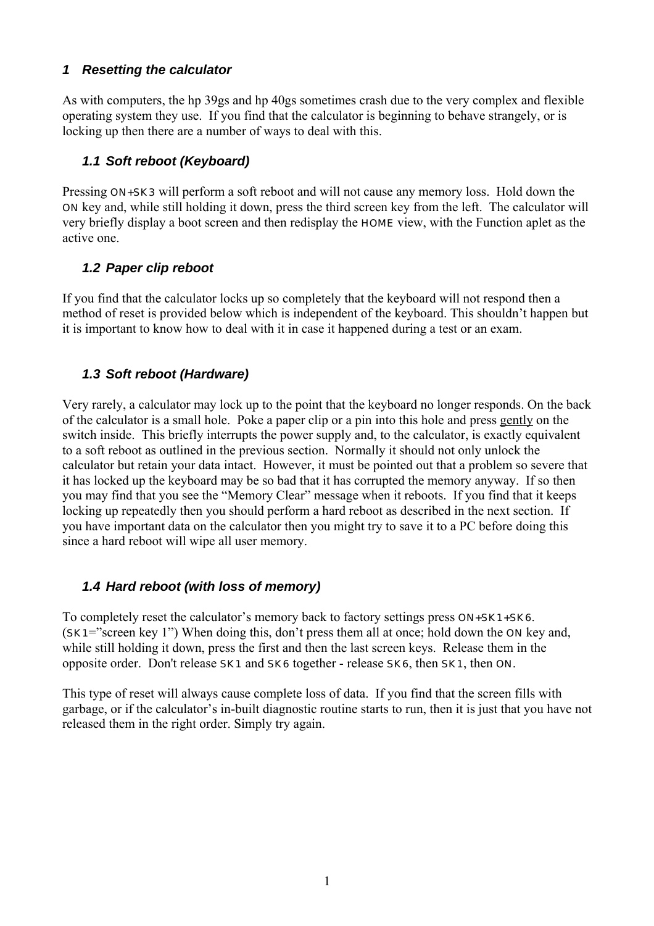#### <span id="page-2-0"></span>*1 Resetting the calculator*

As with computers, the hp 39gs and hp 40gs sometimes crash due to the very complex and flexible operating system they use. If you find that the calculator is beginning to behave strangely, or is locking up then there are a number of ways to deal with this.

#### *1.1 Soft reboot (Keyboard)*

Pressing **ON+SK3** will perform a soft reboot and will not cause any memory loss. Hold down the ON key and, while still holding it down, press the third screen key from the left. The calculator will very briefly display a boot screen and then redisplay the HOME view, with the Function aplet as the active one.

#### *1.2 Paper clip reboot*

If you find that the calculator locks up so completely that the keyboard will not respond then a method of reset is provided below which is independent of the keyboard. This shouldn't happen but it is important to know how to deal with it in case it happened during a test or an exam.

#### *1.3 Soft reboot (Hardware)*

Very rarely, a calculator may lock up to the point that the keyboard no longer responds. On the back of the calculator is a small hole. Poke a paper clip or a pin into this hole and press gently on the switch inside. This briefly interrupts the power supply and, to the calculator, is exactly equivalent to a soft reboot as outlined in the previous section. Normally it should not only unlock the calculator but retain your data intact. However, it must be pointed out that a problem so severe that it has locked up the keyboard may be so bad that it has corrupted the memory anyway. If so then you may find that you see the "Memory Clear" message when it reboots. If you find that it keeps locking up repeatedly then you should perform a hard reboot as described in the next section. If you have important data on the calculator then you might try to save it to a PC before doing this since a hard reboot will wipe all user memory.

#### *1.4 Hard reboot (with loss of memory)*

To completely reset the calculator's memory back to factory settings press **ON+SK1+SK6**. (SK1="screen key 1") When doing this, don't press them all at once; hold down the ON key and, while still holding it down, press the first and then the last screen keys. Release them in the opposite order. Don't release SK1 and SK6 together - release SK6, then SK1, then ON.

This type of reset will always cause complete loss of data. If you find that the screen fills with garbage, or if the calculator's in-built diagnostic routine starts to run, then it is just that you have not released them in the right order. Simply try again.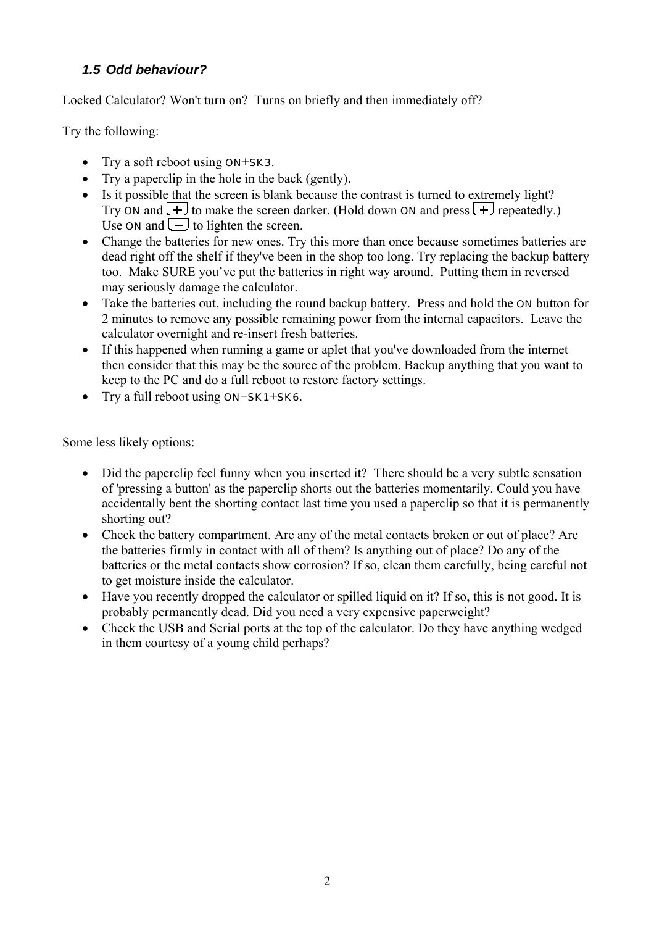## <span id="page-3-0"></span>*1.5 Odd behaviour?*

Locked Calculator? Won't turn on? Turns on briefly and then immediately off?

Try the following:

- Try a soft reboot using **ON+SK3**.
- Try a paperclip in the hole in the back (gently).
- Is it possible that the screen is blank because the contrast is turned to extremely light? Try **ON** and  $\boxed{+}$  to make the screen darker. (Hold down **ON** and press  $\boxed{+}$  repeatedly.) Use  $\overline{ON}$  and  $\overline{(-)}$  to lighten the screen.
- Change the batteries for new ones. Try this more than once because sometimes batteries are dead right off the shelf if they've been in the shop too long. Try replacing the backup battery too. Make SURE you've put the batteries in right way around. Putting them in reversed may seriously damage the calculator.
- Take the batteries out, including the round backup battery. Press and hold the **ON** button for 2 minutes to remove any possible remaining power from the internal capacitors. Leave the calculator overnight and re-insert fresh batteries.
- If this happened when running a game or aplet that you've downloaded from the internet then consider that this may be the source of the problem. Backup anything that you want to keep to the PC and do a full reboot to restore factory settings.
- Try a full reboot using **ON+SK1+SK6**.

Some less likely options:

- Did the paperclip feel funny when you inserted it? There should be a very subtle sensation of 'pressing a button' as the paperclip shorts out the batteries momentarily. Could you have accidentally bent the shorting contact last time you used a paperclip so that it is permanently shorting out?
- Check the battery compartment. Are any of the metal contacts broken or out of place? Are the batteries firmly in contact with all of them? Is anything out of place? Do any of the batteries or the metal contacts show corrosion? If so, clean them carefully, being careful not to get moisture inside the calculator.
- Have you recently dropped the calculator or spilled liquid on it? If so, this is not good. It is probably permanently dead. Did you need a very expensive paperweight?
- Check the USB and Serial ports at the top of the calculator. Do they have anything wedged in them courtesy of a young child perhaps?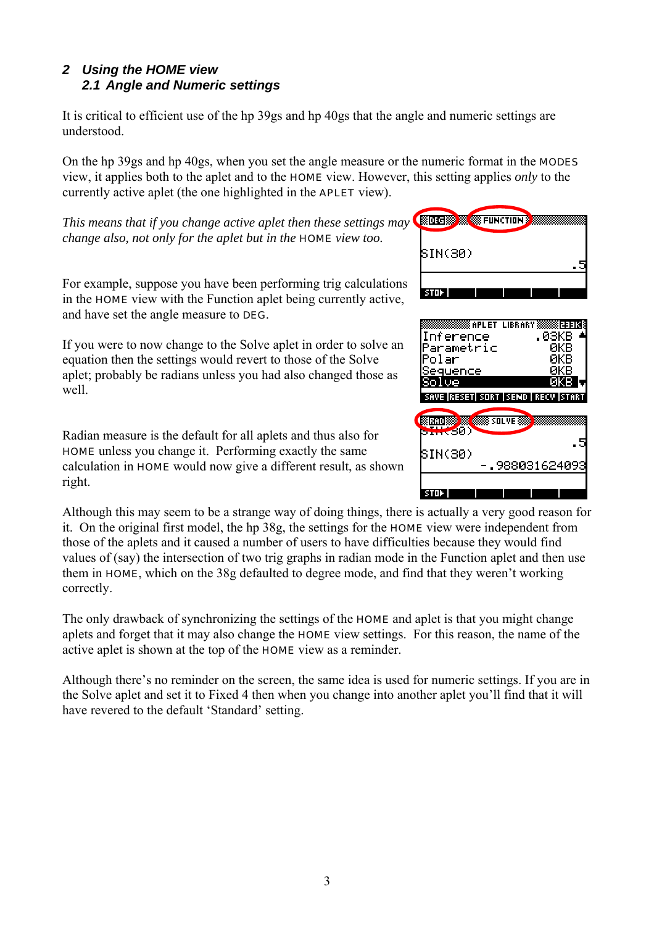#### <span id="page-4-0"></span>*2 Using the HOME view 2.1 Angle and Numeric settings*

It is critical to efficient use of the hp 39gs and hp 40gs that the angle and numeric settings are understood.

On the hp 39gs and hp 40gs, when you set the angle measure or the numeric format in the MODES view, it applies both to the aplet and to the HOME view. However, this setting applies *only* to the currently active aplet (the one highlighted in the APLET view).

*This means that if you change active aplet then these settings m ay change also, not only for the aplet but in the* HOME *view too.*

For example, suppose you have been performing trig calculations in the HOME view with the Function aplet being currently active, and have set the angle measure to DEG.

If you were to now change to the Solve aplet in order to solve an equation then the settings would revert to those of the Solve aplet; probably be radians unless you had also changed those as well.

Radian measure is the default for all aplets and thus also for HOME unless you change it. Performing exactly the same calculation in HOME would now give a different result, as shown right.

Although this may seem to be a strange way of doing things, there is actually a very good reason for it. On the original first model, the hp 38g, the settings for the HOME view were independent from those of the aplets and it caused a number of users to have difficulties because they would find values of (say) the intersection of two trig graphs in radian mode in the Function aplet and then use them in HOME, which on the 38g defaulted to degree mode, and find that they weren't working correctly.

The only drawback of synchronizing the settings of the **HOME** and aplet is that you might change aplets and forget that it may also change the HOME view settings. For this reason, the name of the active aplet is shown at the top of the HOME view as a reminder.

Although there's no reminder on the screen, the same idea is used for numeric settings. If you are in the Solve aplet and set it to Fixed 4 then when you change into another aplet you'll find that it will have revered to the default 'Standard' setting.

| kalor Gikko<br>Ю<br><b>SEE FUNCTION ?</b> |  |
|-------------------------------------------|--|
| BIN(30)                                   |  |
| STOP.                                     |  |

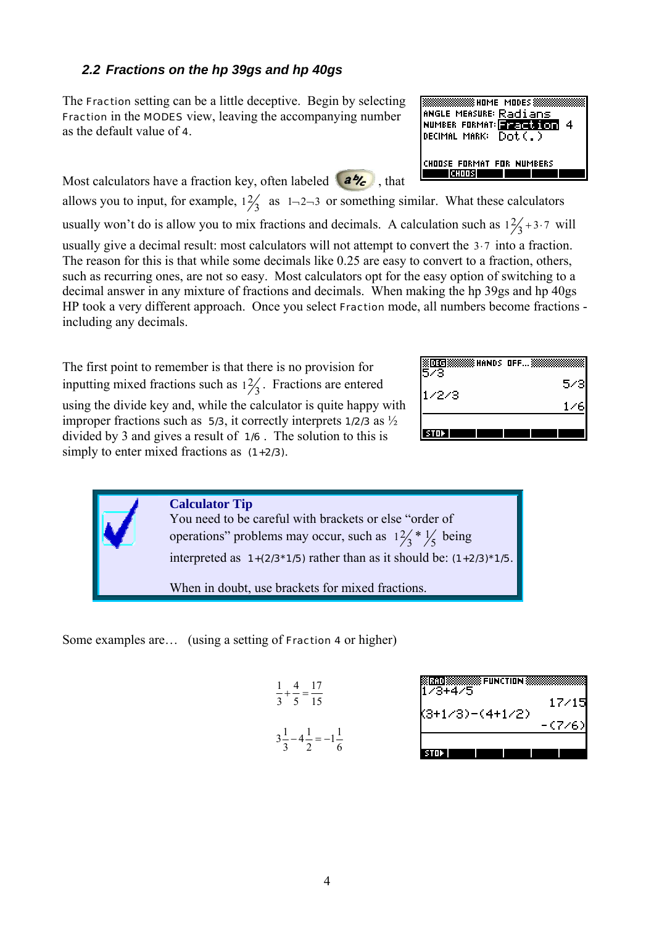## <span id="page-5-0"></span>*2.2 Fractions on the hp 39gs and hp 40gs*

The Fraction setting can be a little deceptive. Begin by selecting Fraction in the MODES view, leaving the accompanying number as the default value of 4.

ANGLE MEASURE: Radians NUMBER FORMAT: **EXECUTION** 4 DECIMAL MARK: Dot(.) CHOOSE FORMAT FOR NUMBERS **CHOOS THE** 

**BOOKSINGS AND THE MODES SIN** 

Most calculators have a fraction key, often labeled  $(a\%$ , that allows you to input, for example,  $1\frac{2}{3}$  as  $1\frac{2}{3}$  or something similar. What these calculators usually won't do is allow you to mix fractions and decimals. A calculation such as  $1\frac{2}{3} + 3.7$  will usually give a decimal result: most calculators will not attempt to convert the  $3·7$  into a fraction. The reason for this is that while some decimals like 0.25 are easy to convert to a fraction, others, such as recurring ones, are not so easy. Most calculators opt for the easy option of switching to a decimal answer in any mixture of fractions and decimals. When making the hp 39gs and hp 40gs HP took a very different approach. Once you select Fraction mode, all numbers become fractions -

including any decimals.

The first point to remember is that there is no provision for inputting mixed fractions such as  $1\frac{2}{3}$ . Fractions are entered using the divide key and, while the calculator is quite happy with improper fractions such as  $\overline{\mathbf{5}}$  5/3, it correctly interprets 1/2/3 as  $\frac{1}{2}$ divided by 3 and gives a result of 1/6 . The solution to this is simply to enter mixed fractions as  $(1+2/3)$ .

| <b> HANDS OFF…</b><br>m<br>73 |     |
|-------------------------------|-----|
| 7273.                         | 5/3 |
|                               |     |
|                               |     |
| TШ                            |     |

**Calculator Tip** You need to be careful with brackets or else "order of operations" problems may occur, such as  $1\frac{2}{3}$  \*  $\frac{1}{5}$  being interpreted as  $1+(2/3*1/5)$  rather than as it should be:  $(1+2/3)*1/5$ . When in doubt, use brackets for mixed fractions.

Some examples are… (using a setting of Fraction 4 or higher)

| 1 4 17<br>$-+ - =$ $-$<br>3 5 15                           |
|------------------------------------------------------------|
| $3\frac{1}{2}-4\frac{1}{2}=-1\frac{1}{2}$<br>$\frac{3}{2}$ |

| нст<br>3+4/5    |         |
|-----------------|---------|
|                 | 17/15   |
| K3+1/3)-(4+1/2) | - (7/6) |
| м               |         |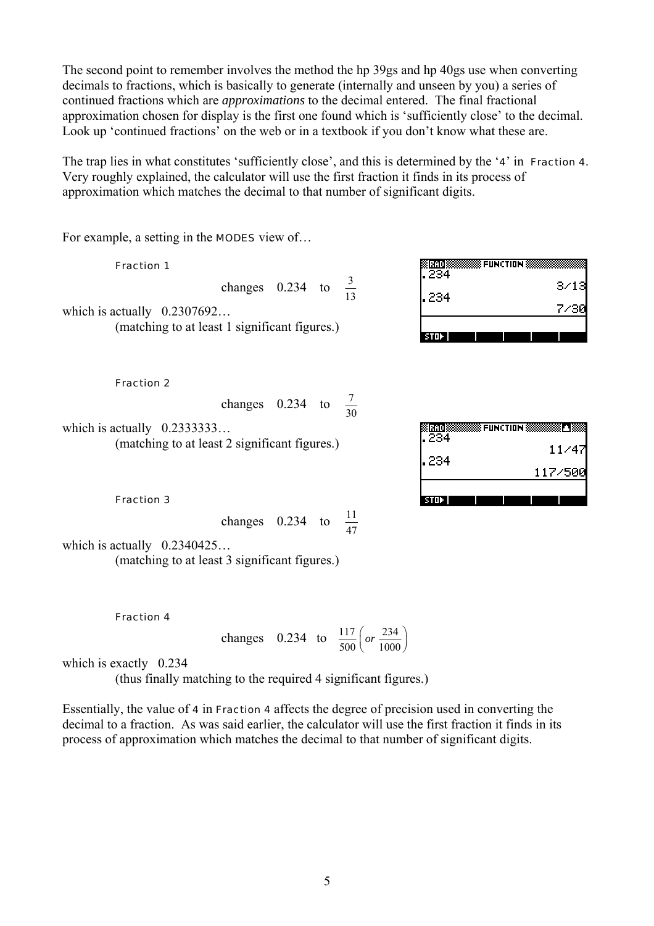The second point to remember involves the method the hp 39gs and hp 40gs use when converting decimals to fractions, which is basically to generate (internally and unseen by you) a series of continued fractions which are *approximations* to the decimal entered. The final fractional approximation chosen for display is the first one found which is 'sufficiently close' to the decimal. Look up 'continued fractions' on the web or in a textbook if you don't know what these are.

The trap lies in what constitutes 'sufficiently close', and this is determined by the '4' in Fraction 4. Very roughly explained, the calculator will use the first fraction it finds in its process of approximation which matches the decimal to that number of significant digits.

For example, a setting in the **MODES** view of...

Fraction 1

changes 0.234 to  $\frac{3}{13}$ 

which is actually  $0.2307692...$ (matching to at least 1 significant figures.)

Fraction 2

changes 0.234 to  $\frac{7}{30}$ 

which is actually  $0.2333333...$ (matching to at least 2 significant figures.)

ØRADIØ **SEUNCTION S**  $\overline{234}$  $11/47$ 234 117/500  $STDF$ 

**SE FUNCTION SS** 

 $3/13$ 

7/3P

MrADIX

234

234

 $STDF$ 

Fraction 3

changes  $0.234$  to  $\frac{11}{2}$  $\overline{47}$ 

which is actually  $0.2340425...$ 

(matching to at least 3 significant figures.)

Fraction 4

changes 0.234 to 
$$
\frac{117}{500}
$$
 (or  $\frac{234}{1000}$ )

which is exactly 0.234

(thus finally matching to the required 4 significant figures.)

Essentially, the value of 4 in Fraction 4 affects the degree of precision used in converting the decimal to a fraction. As was said earlier, the calculator will use the first fraction it finds in its process of approximation which matches the decimal to that number of significant digits.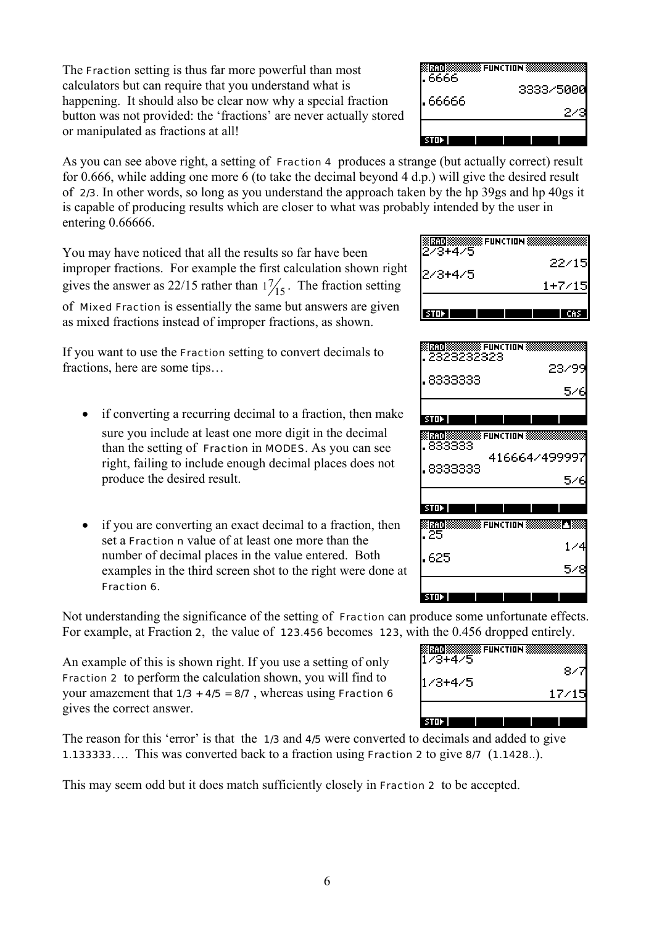The Fraction setting is thus far more powerful than most calculators but can require that you understand what is happening. It should also be clear now why a special fraction button was not provided: the 'fractions' are never actually stored or manipulated as fractions at all!

| EERR. | 8888 FUNCTION 8<br>3333/5000 |
|-------|------------------------------|
| 66666 |                              |
| AW,   |                              |

As you can see above right, a setting of **Fraction 4** produces a strange (but actually correct) result for 0.666, while adding one more 6 (to take the decimal beyond 4 d.p.) will give the desired result of 2/3. In other words, so long as you understand the approach taken by the hp 39gs and hp 40gs it is capable of producing results which are closer to what was probably intended by the user in entering 0.66666.

You may have noticed that all the results so far have been improper fractions. For example the first calculation shown right gives the answer as 22/15 rather than  $1\frac{7}{15}$ . The fraction setting

of Mixed Fraction is essentially the same but answers are given as mixed fractions instead of improper fractions, as shown.

If you want to use the Fraction setting to convert decimals to fractions, here are some tips…

- if converting a recurring decimal to a fraction, then make sure you include at least one more digit in the decimal than the setting of Fraction in MODES. As you can see right, failing to include enough decimal places does not produce the desired result.
- if you are converting an exact decimal to a fraction, then set a Fraction n value of at least one more than the number of decimal places in the value entered. Both examples in the third screen shot to the right were done at Fraction 6.

Not understanding the significance of the setting of Fraction can produce some unfortunate effects. For example, at Fraction 2, the value of 123.456 becomes 123, with the 0.456 dropped entirely.

An example of this is shown right. If you use a setting of only Fraction 2 to perform the calculation shown, you will find to your amazement that  $1/3 + 4/5 = 8/7$ , whereas using Fraction 6 gives the correct answer.

The reason for this 'error' is that the 1/3 and 4/5 were converted to decimals and added to give 1.133333…. This was converted back to a fraction using Fraction 2 to give 8/7 (1.1428..).

This may seem odd but it does match sufficiently closely in Fraction 2 to be accepted.

| <b>8888 FUNCTION \$</b><br>ř.<br>273+475 |        |
|------------------------------------------|--------|
|                                          | 22/15  |
| $2/3 + 4/5$                              | 1+7/15 |
| stur                                     |        |

| . 8333333 | 23/99<br>57                                                     |
|-----------|-----------------------------------------------------------------|
| stab      |                                                                 |
|           | : LOLUIS SISSISSISSE FUNCTION SISSIS<br>833333<br>4166644499997 |
| 8333333   | 546                                                             |
| ा त       |                                                                 |
| 25        | <b>ERROR (STARBOROOMS) FUNCTION SUBSIDIARY</b><br>™™<br>- 44    |
| 625       |                                                                 |
| sun       |                                                                 |

| <b>SFUNCTION</b> | $W = V \times V \times W \times W \times W \times W$ |
|------------------|------------------------------------------------------|
| 43+475           | 84                                                   |
| - 4475           | 17/1                                                 |
|                  |                                                      |
|                  |                                                      |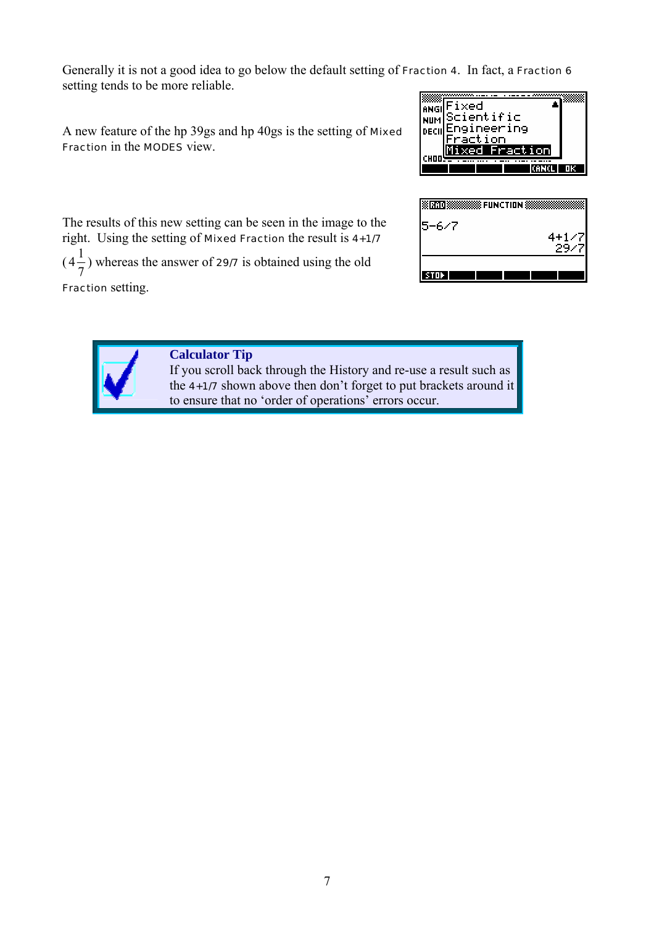Generally it is not a good idea to go below the default setting of Fraction 4. In fact, a Fraction 6 setting tends to be more reliable.

A new feature of the hp 39gs and hp 40gs is the setting of Mixed Fraction in the MODES view.



The results of this new setting can be seen in the image to the right. Using the setting of Mixed Fraction the result is 4+1/7

 $(4\frac{1}{2})$ 7 ) whereas the answer of 29/7 is obtained using the old

Fraction setting.

| <b>SSS FUNCTION</b><br>要 |                     |
|--------------------------|---------------------|
| $15 - 6 / 7$             |                     |
|                          | $4+$<br>- 7<br>- 11 |
|                          |                     |
| ш                        |                     |



#### **Calculator Tip**

If you scroll back through the History and re-use a result such as the 4+1/7 shown above then don't forget to put brackets around it to ensure that no 'order of operations' errors occur.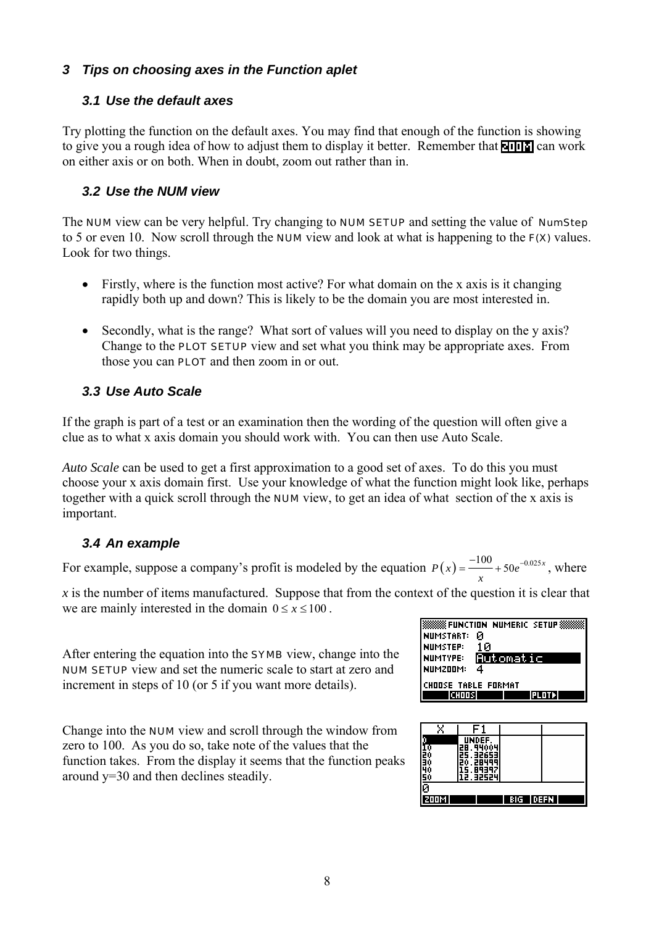#### <span id="page-9-0"></span>*3 Tips on choosing axes in the Function aplet*

#### *3.1 Use the default axes*

Try plotting the function on the default axes. You may find that enough of the function is showing to give you a rough idea of how to adjust them to display it better. Remember that  $\blacksquare$  can work on either axis or on both. When in doubt, zoom out rather than in.

#### *3.2 Use the NUM view*

The NUM view can be very helpful. Try changing to NUM SETUP and setting the value of NumStep to 5 or even 10. Now scroll through the **NUM** view and look at what is happening to the **F(X)** values. Look for two things.

- Firstly, where is the function most active? For what domain on the x axis is it changing rapidly both up and down? This is likely to be the domain you are most interested in.
- Secondly, what is the range? What sort of values will you need to display on the y axis? Change to the **PLOT SETUP** view and set what you think may be appropriate axes. From those you can **PLOT** and then zoom in or out.

## *3.3 Use Auto Scale*

If the graph is part of a test or an examination then the wording of the question will often give a clue as to what x axis domain you should work with. You can then use Auto Scale.

*Auto Scale* can be used to get a first approximation to a good set of axes. To do this you must choose your x axis domain first. Use your knowledge of what the function might look like, perhaps together with a quick scroll through the NUM view, to get an idea of what section of the x axis is important.

## *3.4 An example*

For example, suppose a company's profit is modeled by the equation  $P(x) = \frac{-100}{x} + 50e^{-0.025x}$ *x*  $=\frac{-100}{-} + 50e^{-0.025x}$ , where

*x* is the number of items manufactured. Suppose that from the context of the question it is clear that we are mainly interested in the domain  $0 \le x \le 100$ .

After entering the equation into the SYMB view, change into the NUM SETUP view and set the numeric scale to start at zero and increment in steps of 10 (or 5 if you want more details).

Change into the NUM view and scroll through the window from zero to 100. As you do so, take note of the values that the function takes. From the display it seems that the function peaks around y=30 and then declines steadily.

| 888 FUNCTION NUMERIC SETUP   |  |  |  |
|------------------------------|--|--|--|
| Й<br><b>NUMSTART:</b>        |  |  |  |
| 1Й<br><b>NUMSTEP:</b>        |  |  |  |
| Automatic<br><b>NUMTYPE:</b> |  |  |  |
| 4<br>NUMZOOM:                |  |  |  |
| CHOOSE TABLE FORMAT          |  |  |  |
| launosi<br>12 LOT 31         |  |  |  |

| X              |                        |  |  |
|----------------|------------------------|--|--|
|                | UNDEF.                 |  |  |
| T0<br>20<br>30 | 20.44004<br>32653      |  |  |
|                | 199<br>28              |  |  |
| <u>S0</u>      | 9<br>9<br>н<br>2.32524 |  |  |
| ā              |                        |  |  |
|                |                        |  |  |
| мшл            | DEFN<br>ны             |  |  |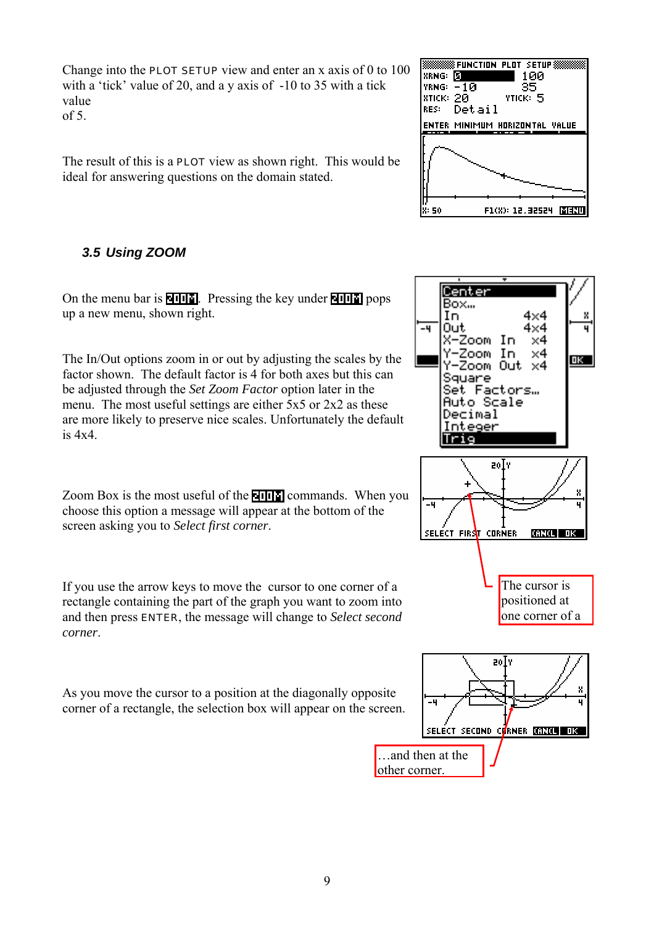<span id="page-10-0"></span>Change into the **PLOT SETUP** view and enter an x axis of 0 to  $100$ with a 'tick' value of 20, and a y axis of -10 to 35 with a tick value

 $\sigma$ f 5.

The result of this is a PLOT view as shown right. This would be ideal for answering questions on the domain stated.

## *3.5 Using ZOOM*

On the menu bar is  $\sqrt{u}$ . Pressing the key under  $\sqrt{u}$  pops up a new menu, shown right.

The In/Out options zoom in or out by adjusting the scales by the factor shown. The default factor is 4 for both axes but this can be adjusted through the *Set Zoom Factor* option later in the menu. The most useful settings are either 5x5 or 2x2 as these are more likely to preserve nice scales. Unfortunately the default is 4x4.

Zoom Box is the most useful of the **NIIII** commands. When you choose this option a message will appear at the bottom of the screen asking you to *Select first corner*.

If you use the arrow keys to move the cursor to one corner of a rectangle containing the part of the graph you want to zoom into and then press ENTER, the message will change to *Select second corner*.

As you move the cursor to a position at the diagonally opposite corner of a rectangle, the selection box will appear on the screen.





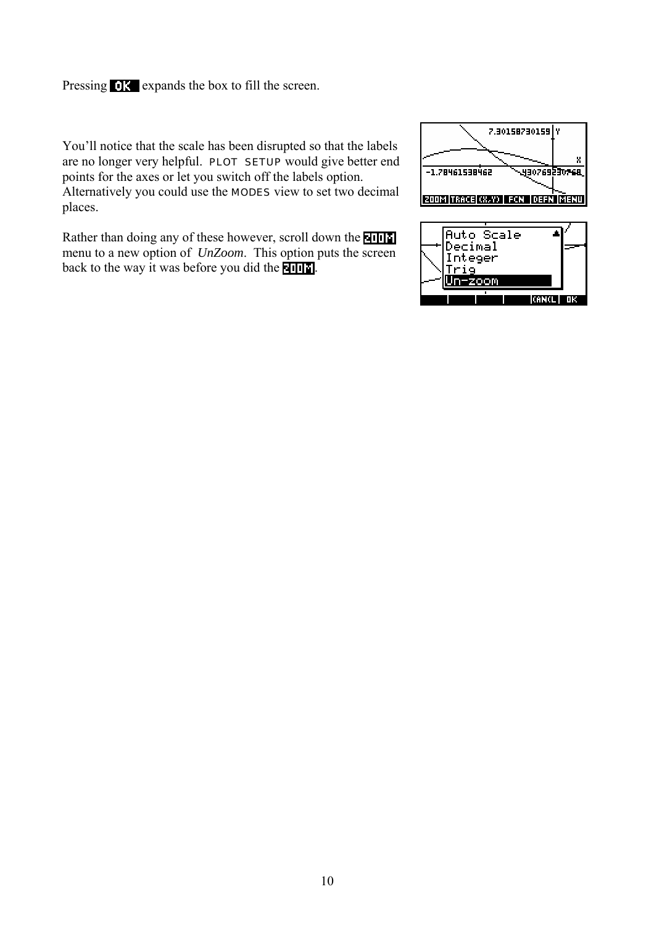Pressing **OK** expands the box to fill the screen.

You'll notice that the scale has been disrupted so that the labels are no longer very helpful. PLOT SETUP would give better end points for the axes or let you switch off the labels option. Alternatively you could use the MODES view to set two decimal places.

Rather than doing any of these however, scroll down the **NHH** menu to a new option of *UnZoom*. This option puts the screen back to the way it was before you did the  $\blacksquare$ 



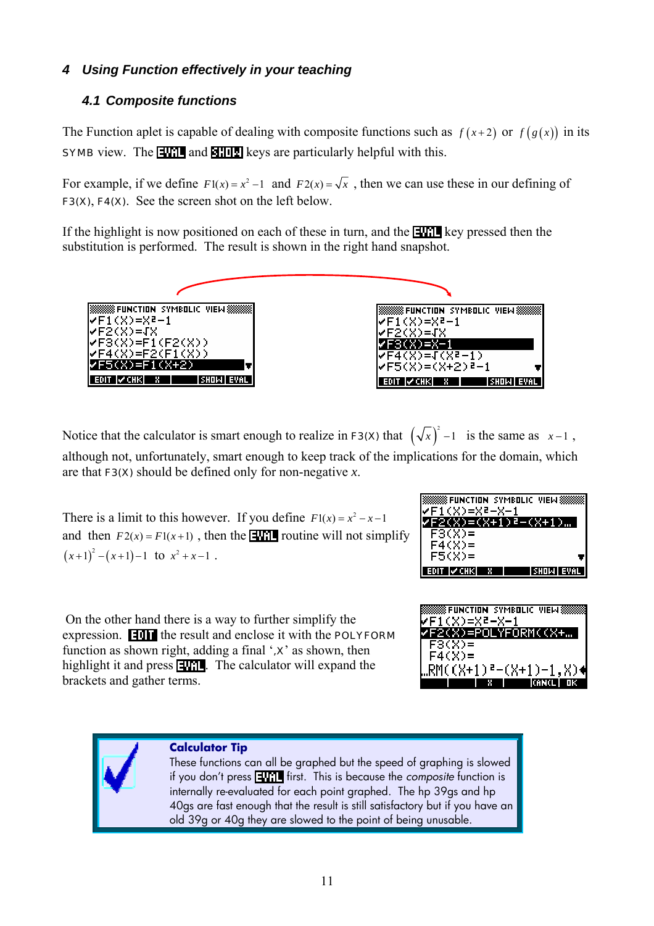#### <span id="page-12-0"></span>*4 Using Function effectively in your teaching*

#### *4.1 Composite functions*

The Function aplet is capable of dealing with composite functions such as  $f(x+2)$  or  $f(g(x))$  in its **SYMB** view. The **EVAL** and **SHIP** keys are particularly helpful with this.

For example, if we define  $F1(x) = x^2 - 1$  and  $F2(x) = \sqrt{x}$ , then we can use these in our defining of F3(X), F4(X). See the screen shot on the left below.

If the highlight is now positioned on each of these in turn, and the  $\blacksquare$  key pressed then the substitution is performed. The result is shown in the right hand snapshot.



Notice that the calculator is smart enough to realize in **F3(X)** that  $(\sqrt{x})^2 - 1$  is the same as  $x - 1$ , although not, unfortunately, smart enough to keep track of the implications for the domain, which are that F3(X) should be defined only for non-negative *x*.

There is a limit to this however. If you define  $F(x) = x^2 - x - 1$ and then  $F_2(x) = F1(x+1)$ , then the **HVII** routine will not simplify  $(x+1)^2 - (x+1) - 1$  to  $x^2 + x - 1$ .



 On the other hand there is a way to further simplify the expression.  $\blacksquare \blacksquare \blacksquare \blacksquare$  the result and enclose it with the POLYFORM function as shown right, adding a final  $\mathbf{x}$  as shown, then highlight it and press  $\Box$ . The calculator will expand the brackets and gather terms.

| -SYMB                 |
|-----------------------|
| 1(X)=X=-X-;           |
| F2(X)=POLYFORM((X+…)  |
| $F3(X)$ =             |
| $F4(X) =$             |
| "RM((X+1)ª-(X+1)−1,X) |
|                       |
| M                     |



#### **Calculator Tip**

These functions can all be graphed but the speed of graphing is slowed if you don't press **ENNI** first. This is because the *composite* function is internally re-evaluated for each point graphed. The hp 39gs and hp 40gs are fast enough that the result is still satisfactory but if you have an old 39g or 40g they are slowed to the point of being unusable.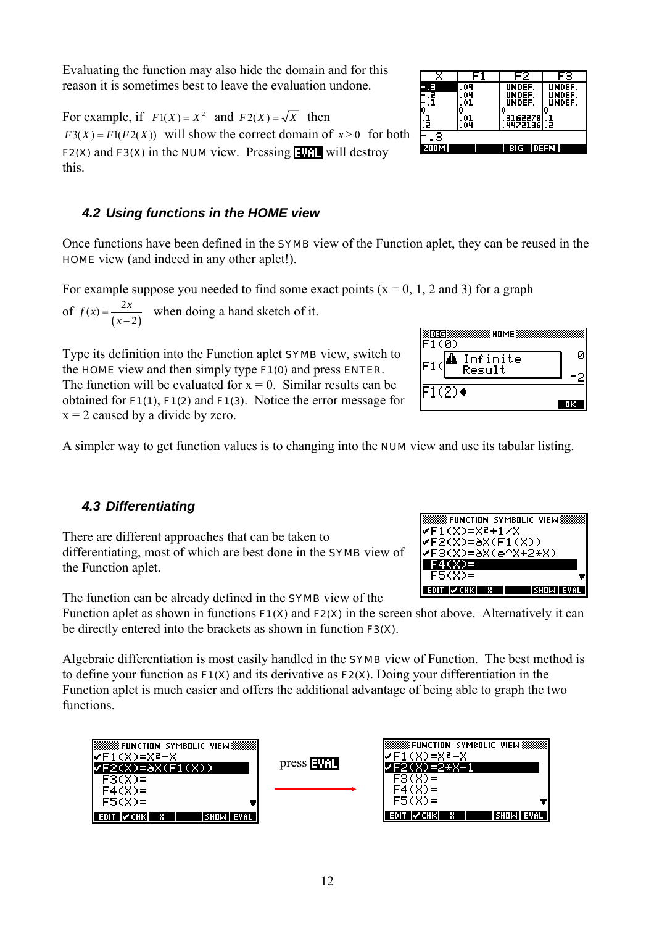<span id="page-13-0"></span>Evaluating the function may also hide the domain and for this reason it is sometimes best to leave the evaluation undone.

For example, if  $F1(X) = X^2$  and  $F2(X) = \sqrt{X}$  then  $F3(X) = F1(F2(X))$  will show the correct domain of  $x \ge 0$  for both F2(X) and F3(X) in the NUM view. Pressing  $\Box$  will destroy this.

#### *4.2 Using functions in the HOME view*

Once functions have been defined in the SYMB view of the Function aplet, they can be reused in the HOME view (and indeed in any other aplet!).

For example suppose you needed to find some exact points ( $x = 0, 1, 2$  and 3) for a graph

of  $f(x) = \frac{2x}{(x-2)}$  when doing a hand sketch of it.

Type its definition into the Function aplet SYMB view, switch to the HOME view and then simply type F1(0) and press ENTER. The function will be evaluated for  $x = 0$ . Similar results can be obtained for F1(1), F1(2) and F1(3). Notice the error message for  $x = 2$  caused by a divide by zero.

A simpler way to get function values is to changing into the NUM view and use its tabular listing.

#### *4.3 Differentiating*

There are different approaches that can be taken to differentiating, most of which are best done in the SYMB view of the Function aplet.

The function can be already defined in the SYMB view of the

Function aplet as shown in functions  $F1(X)$  and  $F2(X)$  in the screen shot above. Alternatively it can be directly entered into the brackets as shown in function F3(X).

Algebraic differentiation is most easily handled in the SYMB view of Function. The best method is to define your function as F1(X) and its derivative as F2(X). Doing your differentiation in the Function aplet is much easier and offers the additional advantage of being able to graph the two functions.

| ISSISSISSI FUNCTIONI SYMBOLICI VIEWISSISSISI<br>IVF1(X)=X2-X |             | <u> ISSSSSSS</u> function symbolic viewssssssi<br>IVF1(X)=X2-X |                |
|--------------------------------------------------------------|-------------|----------------------------------------------------------------|----------------|
| /F2(X)=aX(F1(X))                                             | $pres1 = 1$ | F2(X)=2*X-1                                                    |                |
| $F3(X)$ =                                                    |             | $F3(X) =$                                                      |                |
| $F4(X) =$                                                    |             | $F4(X) =$                                                      |                |
| $F5(X)$ =                                                    |             | $F5(X)$ =                                                      |                |
| <b>EDIT MCHKL</b><br>I SHOIMII EVALII                        |             | EDIT IV CHKI<br><b>47</b>                                      | I SHOIMH EVAL. |

| (ิ0)     |  |
|----------|--|
| Infinite |  |
| Result   |  |
|          |  |

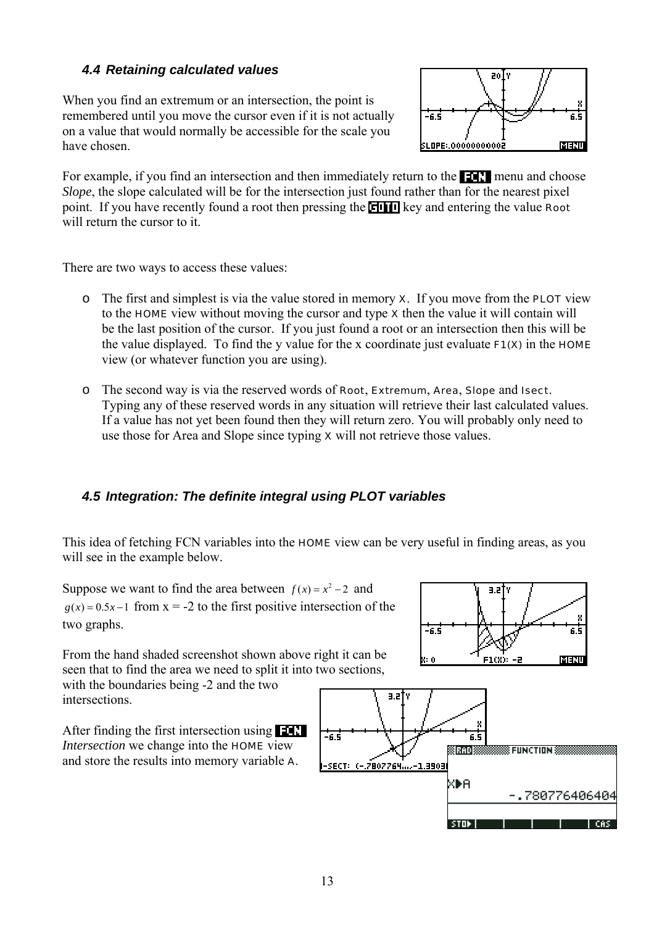#### <span id="page-14-0"></span>*4.4 Retaining calculated values*

When you find an extremum or an intersection, the point is remembered until you move the cursor even if it is not actually on a value that would normally be accessible for the scale you have chosen.



For example, if you find an intersection and then immediately return to the  $\blacksquare$  menu and choose *Slope*, the slope calculated will be for the intersection just found rather than for the nearest pixel point. If you have recently found a root then pressing the **collect** key and entering the value **Root** will return the cursor to it.

There are two ways to access these values:

- $\circ$  The first and simplest is via the value stored in memory **x**. If you move from the **PLOT** view to the HOME view without moving the cursor and type X then the value it will contain will be the last position of the cursor. If you just found a root or an intersection then this will be the value displayed. To find the y value for the x coordinate just evaluate  $F1(X)$  in the HOME view (or whatever function you are using).
- o The second way is via the reserved words of Root, Extremum, Area, Slope and Isect. Typing any of these reserved words in any situation will retrieve their last calculated values. If a value has not yet been found then they will return zero. You will probably only need to use those for Area and Slope since typing  $x$  will not retrieve those values.

#### *4.5 Integration: The definite integral using PLOT variables*

This idea of fetching FCN variables into the **HOME** view can be very useful in finding areas, as you will see in the example below.

Suppose we want to find the area between  $f(x) = x^2 - 2$  and  $g(x) = 0.5x - 1$  from  $x = -2$  to the first positive intersection of the two graphs.

From the hand shaded screenshot shown above right it can be seen that to find the area we need to split it into two sections,

with the boundaries being -2 and the two intersections.

After finding the first intersection using **ELT** *Intersection* we change into the HOME view and store the results into memory variable A.



-6.5

V: O

 $3.2<sup>2</sup>$ 

 $F1(X) = 2$ 

6.5

MENU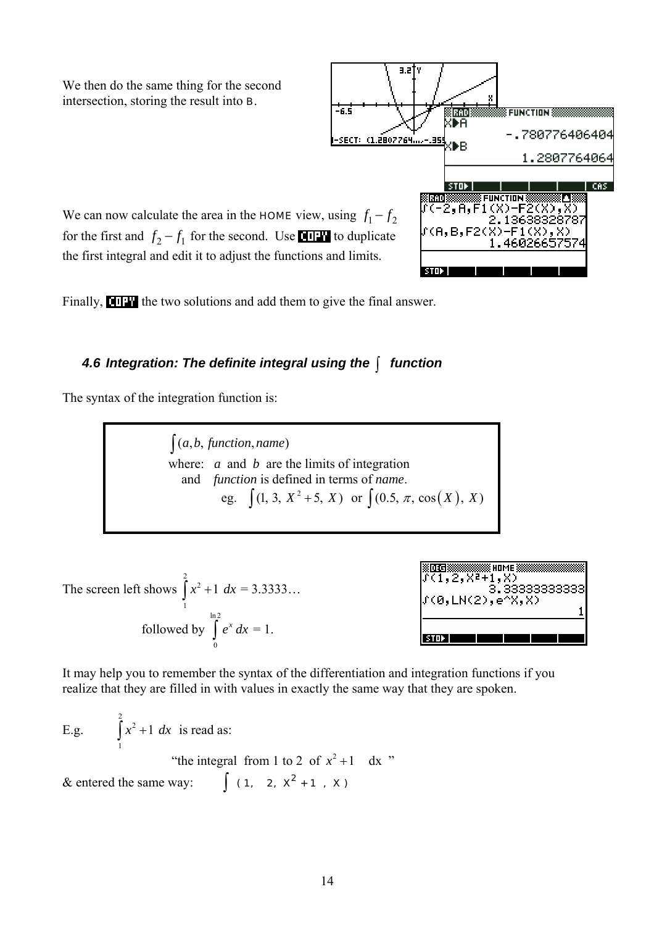<span id="page-15-0"></span>We then do the same thing for the second intersection, storing the result into B.

-6.5 8 FUNCTION 88 8RAD ŒА -.780776406404 SECT: (1.2807764....-35 ŒR 1.2807764064 **STOP** CAS. **FUNCTION**  $A, F1(X)$ 1363832 8787

We can now calculate the area in the **HOME** view, using  $f_1 - f_2$ for the first and  $f_2 - f_1$  for the second. Use **THP** to duplicate the first integral and edit it to adjust the functions and limits.

Finally, **the two solutions and add them to give the final answer.** 

#### *4.6 Integration: The definite integral using the* ∫ *function*

The syntax of the integration function is:

 $(a, b, function, name)$ where: *a* and *b* are the limits of integration and *function* is defined in terms of *name*. eg.  $\int (1, 3, X^2 + 5, X)$  or  $\int (0.5, \pi, \cos(X), X)$ 

The screen left shows 2 2  $\int_{1}^{x^2+1} dx = 3.3333...$ followed by  $\int e^x dx = 1$ . ln 2  $\int\limits_{0}^{\infty}e^{x}dx$ 



It may help you to remember the syntax of the differentiation and integration functions if you realize that they are filled in with values in exactly the same way that they are spoken.

E.g. 2  $\int x^2 + 1 \, dx$  is read as: 1 "the integral from 1 to 2 of  $x^2 + 1$  dx " & entered the same way:  $\int (1, 2, x^2 + 1, x)$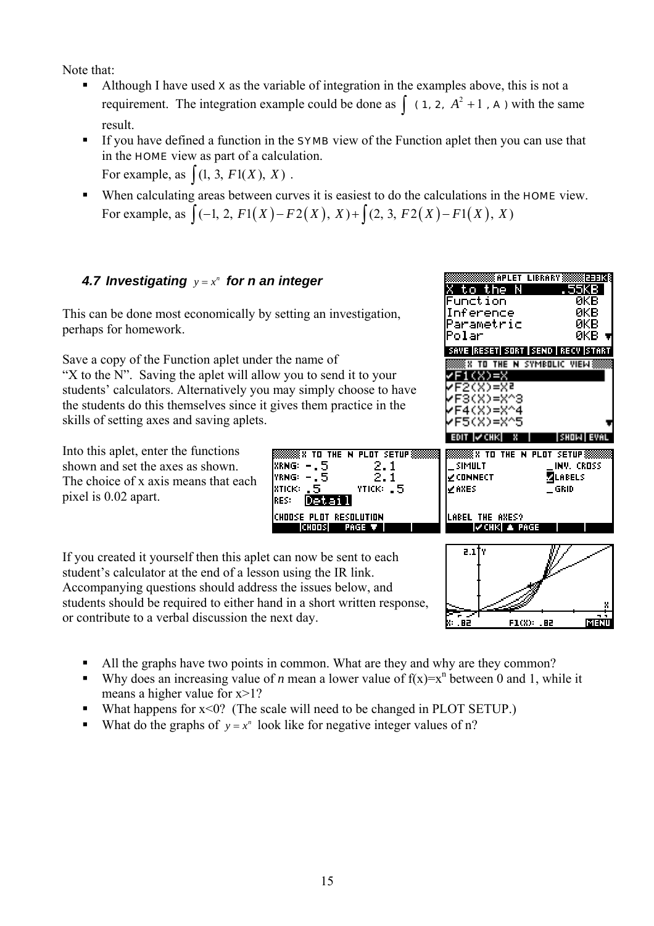<span id="page-16-0"></span>Note that:

- Although I have used  $x$  as the variable of integration in the examples above, this is not a requirement. The integration example could be done as  $\int$  (1, 2,  $A^2 + 1$ , A) with the same result.
- If you have defined a function in the **SYMB** view of the Function aplet then you can use that in the HOME view as part of a calculation. For example, as  $\int (1, 3, F1(X), X)$ .
- When calculating areas between curves it is easiest to do the calculations in the **HOME** view. For example, as  $\int (-1, 2, F1(X) - F2(X), X) + \int (2, 3, F2(X) - F1(X), X)$

## **4.7 Investigating**  $y = x^n$  for n an integer

This can be done most economically by setting an investigation, perhaps for homework.

Save a copy of the Function aplet under the name of "X to the N". Saving the aplet will allow you to send it to your students' calculators. Alternatively you may simply choose to have the students do this themselves since it gives them practice in the skills of setting axes and saving aplets.

Into this aplet, enter the functions shown and set the axes as shown. The choice of x axis means that each pixel is 0.02 apart.

 $F4(X)=X^44$ F5(X)=X^5 **WX TO THE N PLOT SETUP!** THE N PLOT SETUPS ≋x τπ  $\frac{2.1}{2.1}$ |XRNG: -.5 SIMULT INV. CROSS lyrng: – **EXECUTABLE CT Z**LABELS ∠AXES  $\mathsf{T}$ GRID  $\mathsf{T}$ іхтіск». YTICK: .5 |RES: IVetar I CHOOSE PLOT RESOLUTION LABEL THE AXES? **CHOOS** PAGE T  $|VCHK|$  & PAGE

> $7<sub>1</sub>$ ,82 F1(X): .B2 ाउला k: .

APLET LIBRARY AND EEER

VE |RESET| SORT | SEND | RECV |START **IN TO THE N SYMBOLIC VIEWS** 

551313

икв йкв

икв

ЯΚВ

the.

HN.

to.

Polar

unction

Inference Parametric

/F1(X)=X 2(X)=X2  $3(X)=X^23$ 

- If you created it yourself then this aplet can now be sent to each student's calculator at the end of a lesson using the IR link. Accompanying questions should address the issues below, and students should be required to either hand in a short written response, or contribute to a verbal discussion the next day.
	- All the graphs have two points in common. What are they and why are they common?
	- Why does an increasing value of *n* mean a lower value of  $f(x)=x^n$  between 0 and 1, while it means a higher value for  $x>1$ ?
	- What happens for x<0? (The scale will need to be changed in PLOT SETUP.)
	- What do the graphs of  $y = x^n$  look like for negative integer values of n?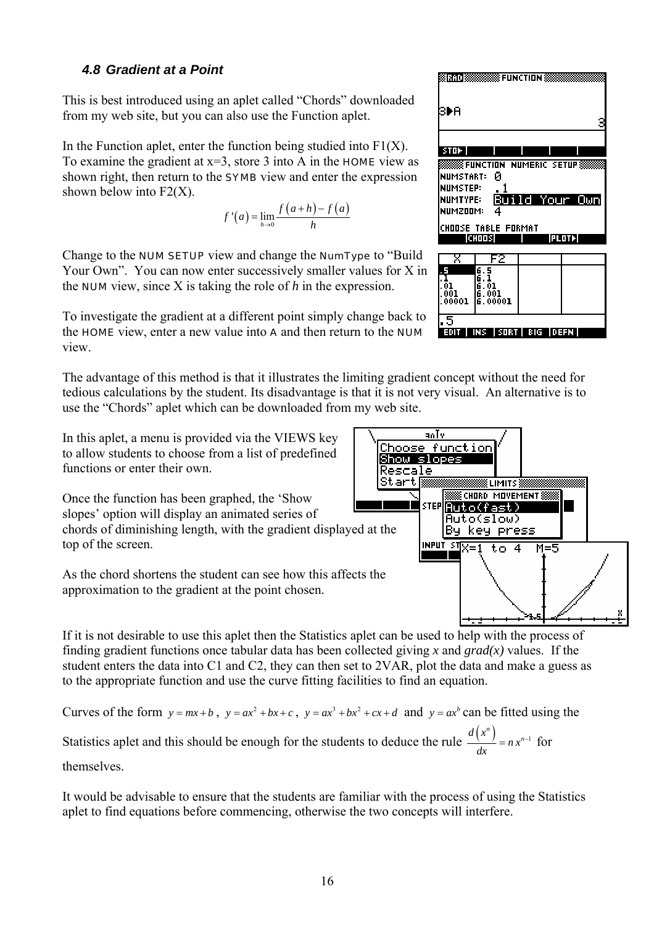#### <span id="page-17-0"></span>*4.8 Gradient at a Point*

This is best introduced using an aplet called "Chords" downloaded from my web site, but you can also use the Function aplet.

In the Function aplet, enter the function being studied into  $F1(X)$ . To examine the gradient at  $x=3$ , store 3 into A in the **HOME** view as shown right, then return to the SYMB view and enter the expression shown below into  $F2(X)$ .

$$
f'(a) = \lim_{h \to 0} \frac{f(a+h) - f(a)}{h}
$$

Change to the NUM SETUP view and change the NumType to "Build Your Own". You can now enter successively smaller values for X in the NUM view, since X is taking the role of *h* in the expression.

To investigate the gradient at a different point simply change back to the HOME view, enter a new value into A and then return to the NUM view.

The advantage of this method is that it illustrates the limiting gradient concept without the need for tedious calculations by the student. Its disadvantage is that it is not very visual. An alternative is to use the "Chords" aplet which can be downloaded from my web site.

In this aplet, a menu is provided via the VIEWS key to allow students to choose from a list of predefined functions or enter their own.

Once the function has been graphed, the 'Show slopes' option will display an animated series of chords of diminishing length, with the gradient displayed at the top of the screen.

As the chord shortens the student can see how this affects the approximation to the gradient at the point chosen.

If it is not desirable to use this aplet then the Statistics aplet can be used to help with the process of finding gradient functions once tabular data has been collected giving *x* and *grad(x)* values. If the student enters the data into C1 and C2, they can then set to 2VAR, plot the data and make a guess as to the appropriate function and use the curve fitting facilities to find an equation.

Curves of the form  $y = mx + b$ ,  $y = ax^2 + bx + c$ ,  $y = ax^3 + bx^2 + cx + d$  and  $y = ax^b$  can be fitted using the Statistics aplet and this should be enough for the students to deduce the rule  $\frac{d(x^n)}{dx} = nx^{n-1}$  for themselves.

It would be advisable to ensure that the students are familiar with the process of using the Statistics aplet to find equations before commencing, otherwise the two concepts will interfere.



INS SORT BIG DEFN



 $\overline{\mathbf{5}}$ 

**EUIT**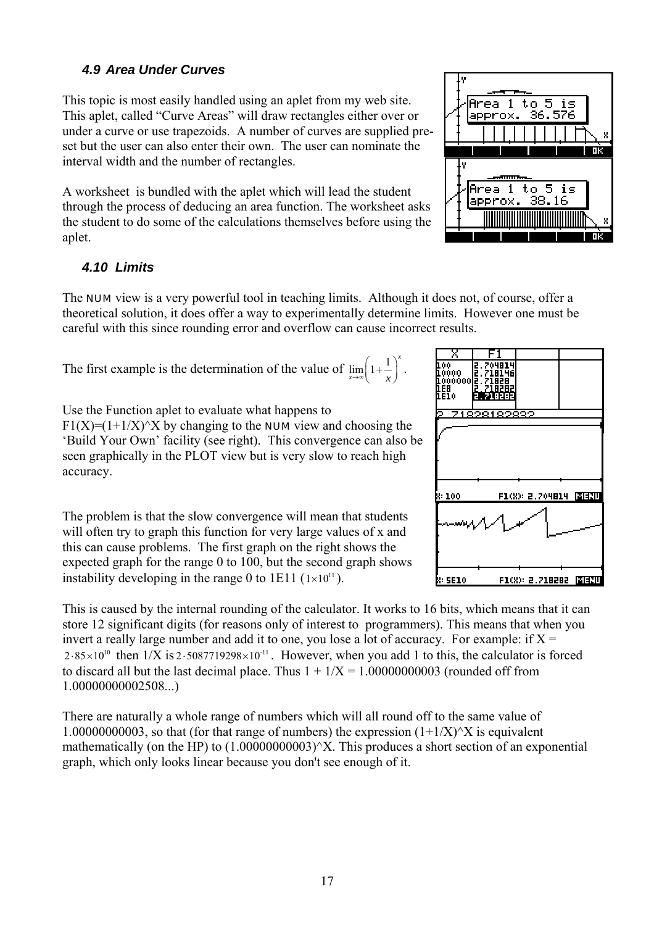#### <span id="page-18-0"></span>*4.9 Area Under Curves*

This topic is most easily handled using an aplet from my web site. This aplet, called "Curve Areas" will draw rectangles either over or under a curve or use trapezoids. A number of curves are supplied preset but the user can also enter their own. The user can nominate the interval width and the number of rectangles.

A worksheet is bundled with the aplet which will lead the student through the process of deducing an area function. The worksheet asks the student to do some of the calculations themselves before using the aplet.

#### *4.10 Limits*

accuracy.

The NUM view is a very powerful tool in teaching limits. Although it does not, of course, offer a theoretical solution, it does offer a way to experimentally determine limits. However one must be careful with this since rounding error and overflow can cause incorrect results.

The first example is the determination of the value of  $\lim_{n \to \infty} \left(1 + \frac{1}{n}\right)^{n}$  $\lim_{x\to\infty} \left(1+\frac{1}{x}\right)^{x}$ .

Use the Function aplet to evaluate what happens to  $F1(X)=(1+1/X)^{x}X$  by changing to the **NUM** view and choosing the 'Build Your Own' facility (see right). This convergence can also be seen graphically in the PLOT view but is very slow to reach high

The problem is that the slow convergence will mean that students will often try to graph this function for very large values of x and this can cause problems. The first graph on the right shows the expected graph for the range 0 to 100, but the second graph shows instability developing in the range 0 to 1E11  $(1 \times 10^{11})$ .

This is caused by the internal rounding of the calculator. It works to 16 bits, which means that it can store 12 significant digits (for reasons only of interest to programmers). This means that when you invert a really large number and add it to one, you lose a lot of accuracy. For example: if  $X =$  $2.85 \times 10^{10}$  then  $1/X$  is  $2.5087719298 \times 10^{11}$ . However, when you add 1 to this, the calculator is forced to discard all but the last decimal place. Thus  $1 + 1/X = 1.0000000003$  (rounded off from 1.00000000002508...)

There are naturally a whole range of numbers which will all round off to the same value of 1.00000000003, so that (for that range of numbers) the expression  $(1+1/X)^{x}X$  is equivalent mathematically (on the HP) to  $(1.0000000003)^\prime X$ . This produces a short section of an exponential graph, which only looks linear because you don't see enough of it.



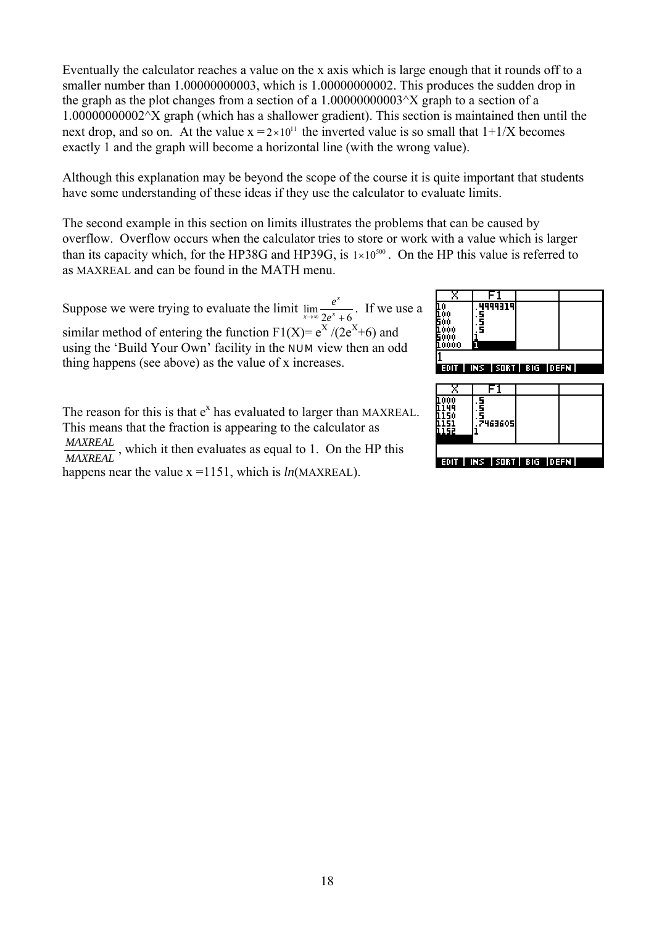Eventually the calculator reaches a value on the x axis which is large enough that it rounds off to a smaller number than 1.00000000003, which is 1.00000000002. This produces the sudden drop in the graph as the plot changes from a section of a  $1.0000000003^{\circ}X$  graph to a section of a 1.00000000002^X graph (which has a shallower gradient). This section is maintained then until the next drop, and so on. At the value  $x = 2 \times 10^{11}$  the inverted value is so small that  $1+1/X$  becomes exactly 1 and the graph will become a horizontal line (with the wrong value).

Although this explanation may be beyond the scope of the course it is quite important that students have some understanding of these ideas if they use the calculator to evaluate limits.

The second example in this section on limits illustrates the problems that can be caused by overflow. Overflow occurs when the calculator tries to store or work with a value which is larger than its capacity which, for the HP38G and HP39G, is  $1 \times 10^{500}$ . On the HP this value is referred to as MAXREAL and can be found in the MATH menu.

Suppose we were trying to evaluate the limit  $\lim_{x\to\infty} \frac{1}{2}$ *x*  $\lim_{x\to\infty}$   $2e^x$ *e*  $\lim_{x\to\infty} \frac{e}{2e^x + 6}$ . If we use a similar method of entering the function  $F1(X) = e^{X} / (2e^{X} + 6)$  and using the 'Build Your Own' facility in the NUM view then an odd thing happens (see above) as the value of x increases.

The reason for this is that  $e^x$  has evaluated to larger than MAXREAL. This means that the fraction is appearing to the calculator as *MAXREAL MAXREAL* , which it then evaluates as equal to 1. On the HP this happens near the value x =1151, which is *ln*(MAXREAL).



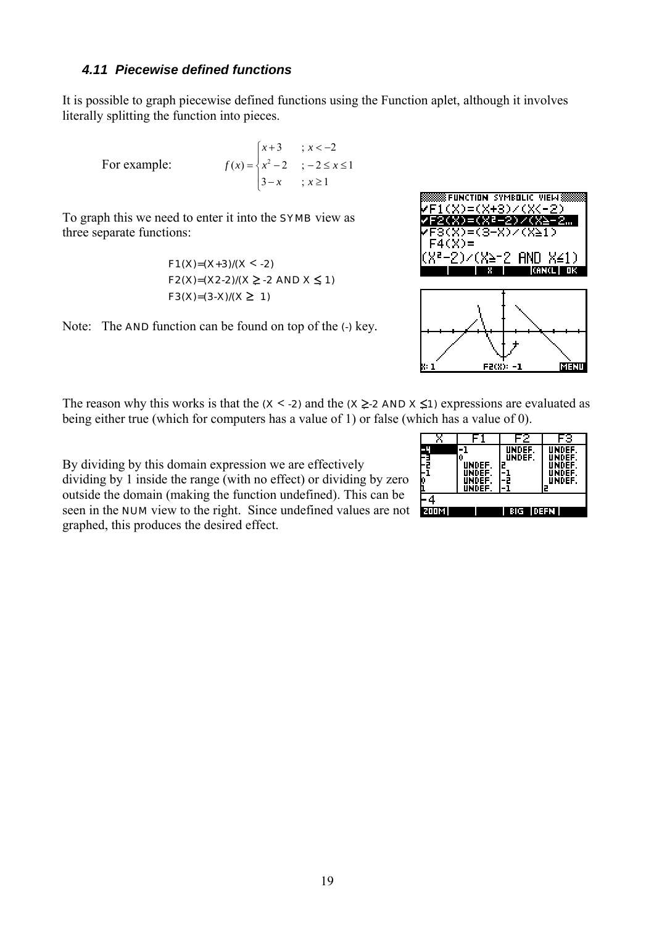#### <span id="page-20-0"></span>*4.11 Piecewise defined functions*

It is possible to graph piecewise defined functions using the Function aplet, although it involves literally splitting the function into pieces.

For example:

$$
f(x) = \begin{cases} x+3 & \text{if } x < -2 \\ x^2 - 2 & \text{if } -2 \le x \le 1 \\ 3-x & \text{if } x \ge 1 \end{cases}
$$

To graph this we need to enter it into the SYMB view as three separate functions:

$$
F1(X)=(X+3)/(X<-2)
$$
  
 
$$
F2(X)=(X2-2)/(X \ge -2 \text{ AND } X \le 1)
$$
  
 
$$
F3(X)=(3-X)/(X \ge 1)
$$





F2(X): -1

पाका

The reason why this works is that the  $(X < -2)$  and the  $(X \ge 2$  AND  $X \le 1)$  expressions are evaluated as being either true (which for computers has a value of 1) or false (which has a value of 0).

By dividing by this domain expression we are effectively dividing by 1 inside the range (with no effect) or dividing by zero outside the domain (making the function undefined). This can be seen in the NUM view to the right. Since undefined values are not graphed, this produces the desired effect.

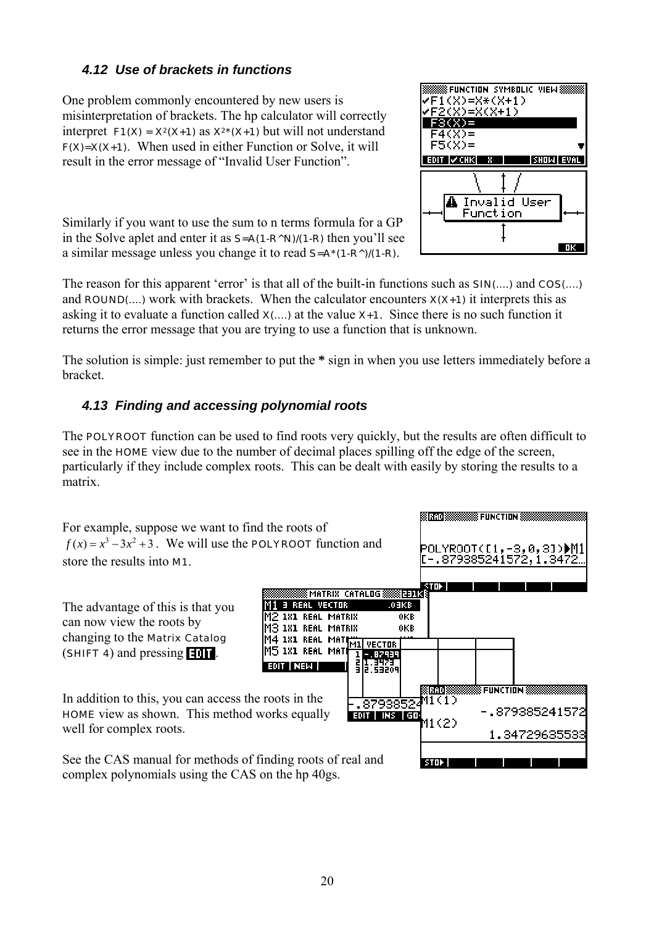#### <span id="page-21-0"></span>*4.12 Use of brackets in functions*

One problem commonly encountered by new users is misinterpretation of brackets. The hp calculator will correctly interpret  $F1(X) = X^2(X+1)$  as  $X^2*(X+1)$  but will not understand  $F(X)=X(X+1)$ . When used in either Function or Solve, it will result in the error message of "Invalid User Function".

Similarly if you want to use the sum to n terms formula for a GP in the Solve aplet and enter it as  $S = A(1 - R^N)/(1 - R)$  then you'll see a similar message unless you change it to read S=A\*(1-R^)/(1-R).



The reason for this apparent 'error' is that all of the built-in functions such as  $\text{SIN}$ (....) and COS(....) and  $\text{ROUND}(\dots)$  work with brackets. When the calculator encounters  $X(X+1)$  it interprets this as asking it to evaluate a function called  $x$ (...) at the value  $x+1$ . Since there is no such function it returns the error message that you are trying to use a function that is unknown.

The solution is simple: just remember to put the **\*** sign in when you use letters immediately before a bracket.

## *4.13 Finding and accessing polynomial roots*

The **POLYROOT** function can be used to find roots very quickly, but the results are often difficult to see in the HOME view due to the number of decimal places spilling off the edge of the screen, particularly if they include complex roots. This can be dealt with easily by storing the results to a matrix.

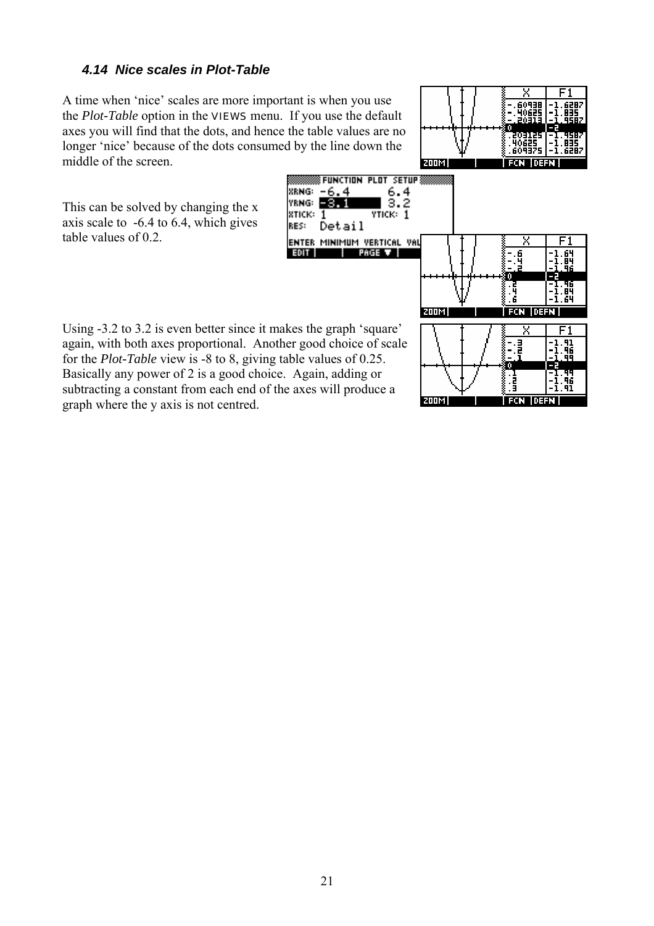#### <span id="page-22-0"></span>*4.14 Nice scales in Plot-Table*

A time when 'nice' scales are more important is when you use the *Plot-Table* option in the VIEWS menu. If you use the default axes you will find that the dots, and hence the table values are no longer 'nice' because of the dots consumed by the line down the middle of the screen.





रामय

60936

Using -3.2 to 3.2 is even better since it makes the graph 'square' again, with both axes proportional. Another good choice of scale for the *Plot-Table* view is -8 to 8, giving table values of 0.25. Basically any power of 2 is a good choice. Again, adding or subtracting a constant from each end of the axes will produce a graph where the y axis is not centred.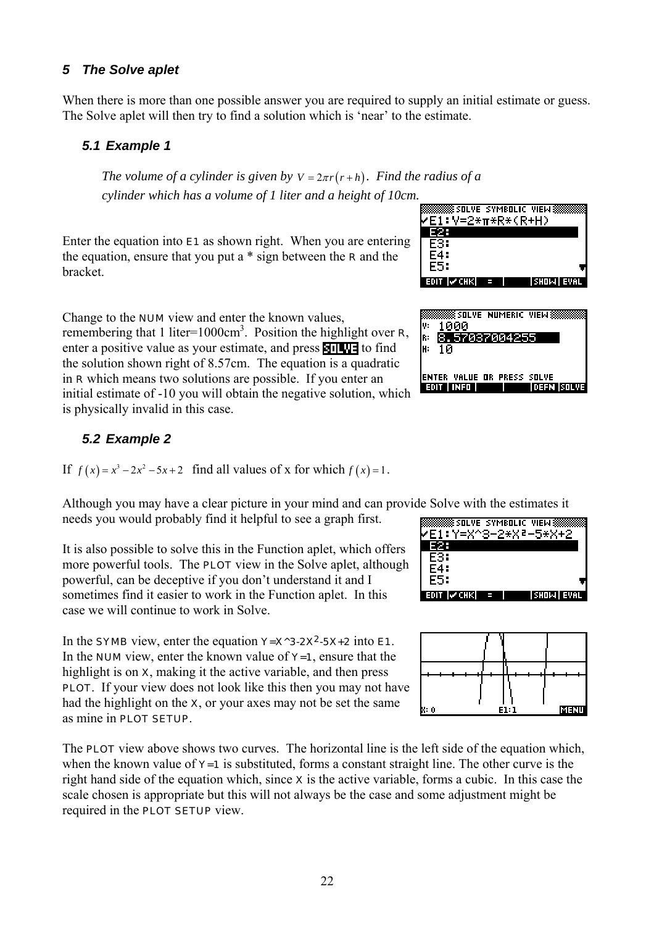#### <span id="page-23-0"></span>*5 The Solve aplet*

When there is more than one possible answer you are required to supply an initial estimate or guess. The Solve aplet will then try to find a solution which is 'near' to the estimate.

#### *5.1 Example 1*

*The volume of a cylinder is given by*  $V = 2\pi r(r+h)$ *. Find the radius of a cylinder which has a volume of 1 liter and a height of 10cm.* 

Enter the equation into  $E1$  as shown right. When you are entering the equation, ensure that you put a \* sign between the R and the bracket.

**FARARASHIRA SOLVE SYMBOLIC VIEW ASS** <mark>/E1:V=2\*π\*R\*(R+H)</mark> E2. E3: E4: E5: EDIT IV CHKI



Change to the NUM view and enter the known values, remembering that 1 liter=1000 $\text{cm}^3$ . Position the highlight over **R**, enter a positive value as your estimate, and press  $\blacksquare$ the solution shown right of 8.57cm. The equation is a quadratic in R which means two solutions are possible. If you enter an initial estimate of -10 you will obtain the negative solution, w hich is physically invalid in this case.

#### *5.2 Example 2*

If  $f(x) = x^3 - 2x^2 - 5x + 2$  find all values of x for which  $f(x) = 1$ .

Although you may have a clear picture in your mind and can provide Solve with the estimates it needs you would probably find it helpful to see a graph first.

It is also possible to solve this in the Function aplet, which offers more powerful tools. The **PLOT** view in the Solve aplet, although powerful, can be deceptive if you don't understand it and I sometimes find it easier to work in the Function aplet. In this case we will continue to work in Solve.

In the SYMB view, enter the equation  $Y=X^3-2X^2-5X+2$  into E1. In the **NUM** view, enter the known value of  $Y=1$ , ensure that the highlight is on X, making it the active variable, and then press PLOT. If your view does not look like this then you may not have had the highlight on the X, or your axes may not be set the same as mine in PLOT SETUP.

The **PLOT** view above shows two curves. The horizontal line is the left side of the equation which, when the known value of  $Y=1$  is substituted, forms a constant straight line. The other curve is the right hand side of the equation which, since  $x$  is the active variable, forms a cubic. In this case the scale chosen is appropriate but this will not always be the case and some adjustment might be required in the PLOT SETUP view.



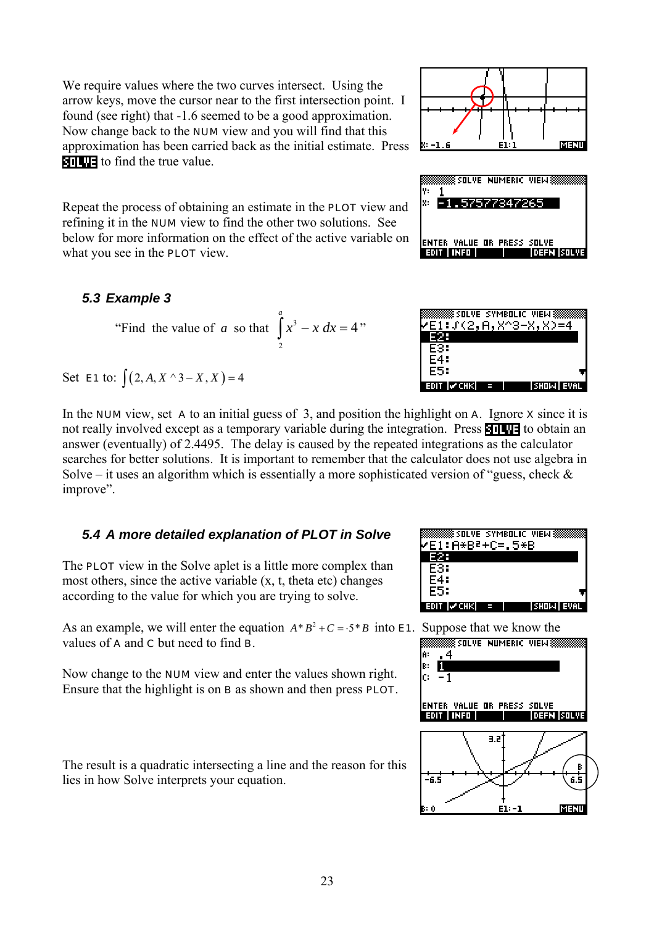23

<span id="page-24-0"></span>We require values where the two curves intersect. Using the arrow keys, move the cursor near to the first intersection point. I found (see right) that -1.6 seemed to be a good approximation. Now change back to the NUM view and you will find that this approximation has been carried back as the initial estimate. Press **EVALUE** to find the true value.

Repeat the process of obtaining an estimate in the PLOT view and refining it in the NUM view to find the other two solutions. See below for more information on the effect of the active variable on what you see in the **PLOT** view.

"Find the value of *a* so that  $\int x^3$ 

#### *5.3 Example 3*

Set **E1** to:  $\int (2, A, X^{\wedge} 3 - X, X) = 4$ 



2

*a*

4

 $\int x^3 - x \, dx = 4$ "

improve".

## *5.4 A more detailed explanation of PLOT in Solve*

The **PLOT** view in the Solve aplet is a little more complex than most others, since the active variable  $(x, t, t)$  theta etc) changes according to the value for which you are trying to solve.

As an example, we will enter the equation  $A*B^2+C=.5*B$  into **E1**. Suppose that we know the values of **A** and **C** but need to find **B**.

Now change to the NUM view and enter the values shown right. Ensure that the highlight is on B as shown and then press PLOT.

The result is a quadratic intersecting a line and the reason for this lies in how Solve interprets your equation.







**SSS SOLVE SYMBOLIC VIEW:** 

'E1:J(2,A,X^3-X,X)=4 IE25 E4: **F5:** ianin Ivonusi

<u>\$SOLVE SYMBOLIC VIEW.</u>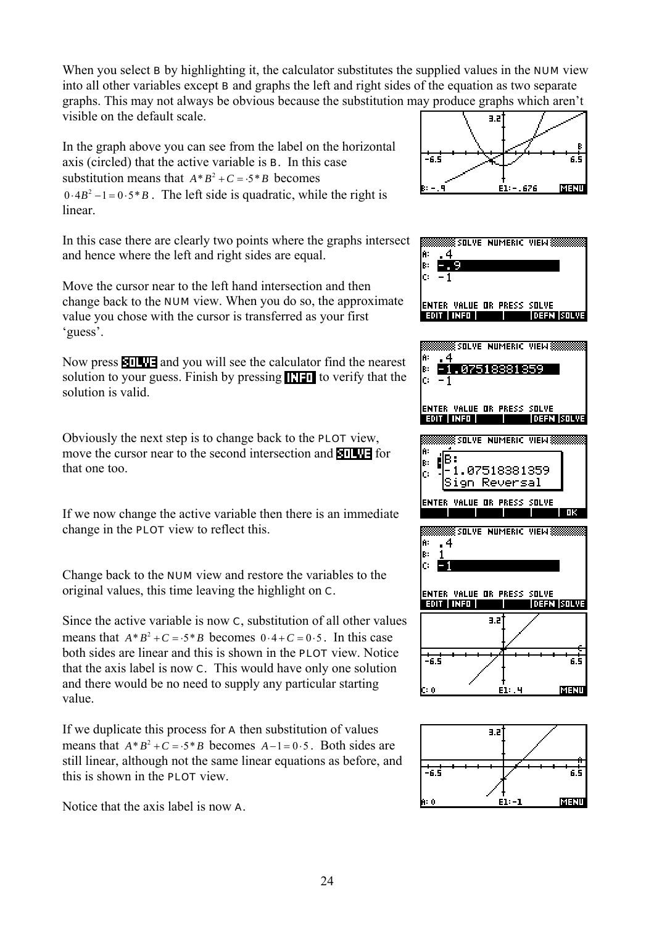When you select **B** by highlighting it, the calculator substitutes the supplied values in the **NUM** view into all other variables except B and graphs the left and right sides of the equation as two separate graphs. This may not always be obvious because the substitution may produce graphs which aren't visible on the default scale.  $3.5$ 

In the graph above you can see from the label on the horizontal axis (circled) that the active variable is B. In this case substitution means that  $A*B^2+C=.5*B$  becomes  $0.4B^2 - 1 = 0.5*B$ . The left side is quadratic, while the right is linear.

In this case there are clearly two points where the graphs intersect and hence where the left and right sides are equal.

Move the cursor near to the left hand intersection and then change back to the NUM view. When you do so, the approximate value you chose with the cursor is transferred as your first 'guess'.

Now press **and you will see the calculator find the nearest** solution to your guess. Finish by pressing  $\prod \blacksquare$  to verify that the solution is valid.

Obviously the next step is to change back to the PLOT view, move the cursor near to the second intersection and  $\blacksquare$ that one too.

If we now change the active variable then there is an immediate change in the PLOT view to reflect this.

Change back to the NUM view and restore the variables to the original values, this time leaving the highlight on C.

Since the active variable is now C, substitution of all other values means that  $A*B^2 + C = .5*B$  becomes  $0.4+C=0.5$ . In this case both sides are linear and this is shown in the PLOT view. Notice that the axis label is now C. This would have only one solution and there would be no need to supply any particular starting value.

If we duplicate this process for A then substitution of values means that  $A*B^2 + C = .5*B$  becomes  $A-1=0.5$ . Both sides are still linear, although not the same linear equations as before, and this is shown in the PLOT view.

Notice that the axis label is now A.





![](_page_25_Figure_13.jpeg)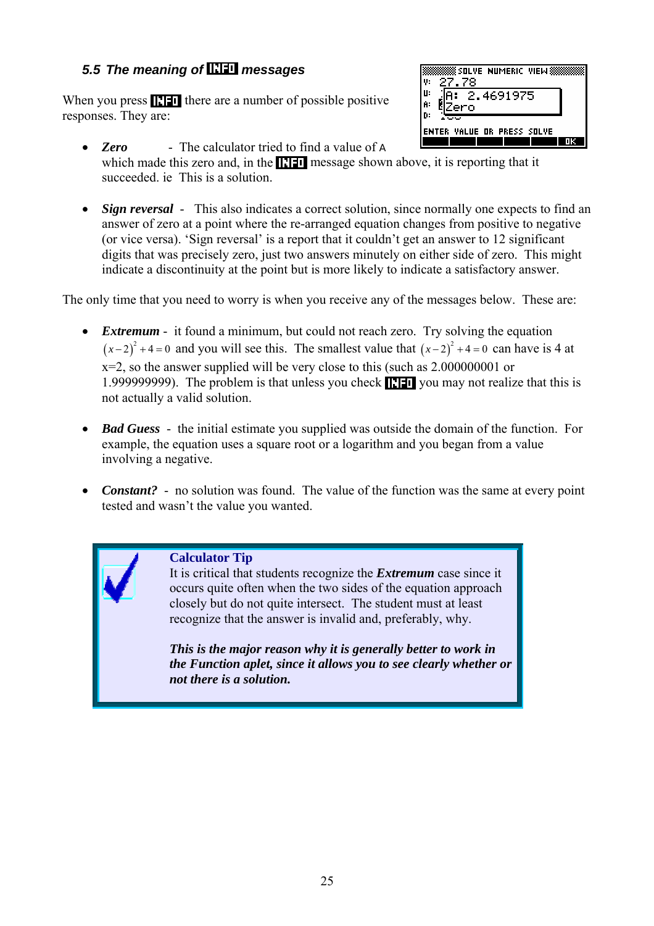## <span id="page-26-0"></span>**5.5 The meaning of <b>RH** messages

When you press  $\prod \prod$  there are a number of possible positive responses. They are:

| OLVE NUMERIC<br>ΨH<br>FW<br>v<br>я               |    |
|--------------------------------------------------|----|
| п<br>н.<br>4691975<br>2.<br>Ĥ.<br>ro             |    |
| n:<br>PRESS<br>ALUEI<br>SΠ<br>-OB<br>VE<br>r F R |    |
|                                                  | ΠЕ |

- **Zero** The calculator tried to find a value of **A** which made this zero and, in the  $\blacksquare$  message shown above, it is reporting that it succeeded. ie This is a solution.
- *Sign reversal* This also indicates a correct solution, since normally one expects to find an answer of zero at a point where the re-arranged equation changes from positive to negative (or vice versa). 'Sign reversal' is a report that it couldn't get an answer to 12 significant digits that was precisely zero, just two answers minutely on either side of zero. This might indicate a discontinuity at the point but is more likely to indicate a satisfactory answer.

The only time that you need to worry is when you receive any of the messages below. These are:

- *Extremum* it found a minimum, but could not reach zero. Try solving the equation  $(x-2)^2 + 4 = 0$  and you will see this. The smallest value that  $(x-2)^2 + 4 = 0$  can have is 4 at  $x=2$ , so the answer supplied will be very close to this (such as 2.000000001 or 1.9999999999. The problem is that unless you check  $\prod \blacksquare$  you may not realize that this is not actually a valid solution.
- *Bad Guess* the initial estimate you supplied was outside the domain of the function. For example, the equation uses a square root or a logarithm and you began from a value involving a negative.
- *Constant?* no solution was found. The value of the function was the same at every point tested and wasn't the value you wanted.

#### **Calculator Tip**

It is critical that students recognize the *Extremum* case since it occurs quite often when the two sides of the equation approach closely but do not quite intersect. The student must at least recognize that the answer is invalid and, preferably, why.

*This is the major reason why it is generally better to work in the Function aplet, since it allows you to see clearly whether or not there is a solution.*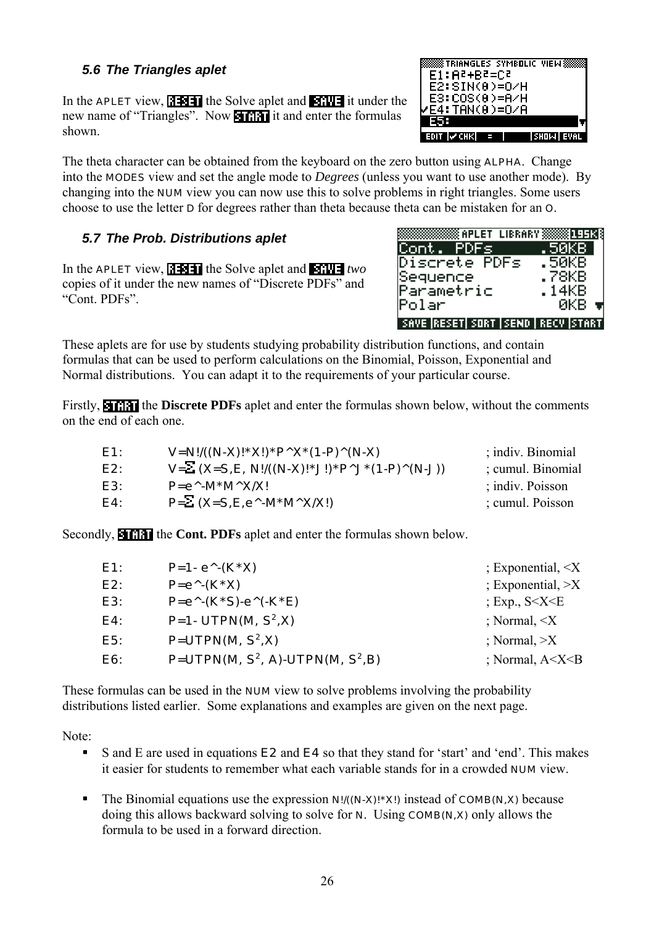26

## <span id="page-27-0"></span>*5.6 The Triangles aplet*

In the APLET view,  $\left|\frac{1}{2}\right|$  the Solve aplet and  $\left|\frac{1}{2}\right|$  it under the new name of "Triangles". Now **in the formulas** it and enter the formulas shown.

The theta character can be obtained from the keyboard on the zero button using **ALPHA**. Change into the MODES view and set the angle mode to *Degrees* (unless you want to use another mode). By changing into the NUM view you can now use this to solve problems in right triangles. Some users choose to use the letter D for degrees rather than theta because theta can be mistaken for an O.

## *5.7 The Prob. Distributions aplet*

In the **APLET** view, **1344** the Solve aplet and **FIWE** two copies of it under the new names of "Discrete PDFs" and "Cont. PDFs".

These aplets are for use by students studying probability distribution functions, and contain formulas that can be used to perform calculations on the Binomial, Poisson, Exponential and Normal distributions. You can adapt it to the requirements of your particular course.

Firstly, **HIMA** the **Discrete PDFs** aplet and enter the formulas shown below, without the comments on the end of each one.

| E1: | $V=N!/((N-X)!*X!)*P^X*(1-P)^(N-X)$                                          | ; indiv. Binomial  |
|-----|-----------------------------------------------------------------------------|--------------------|
| E2: | $V = \sum (X = S, E, N!/((N-X)! * J!) * P^{\wedge} J^*(1-P)^{\wedge}(N-J))$ | : cumul. Binomial  |
| E3: | $P = e^{\Lambda}$ -M*M^X/X!                                                 | $:$ indiv. Poisson |
| E4: | $P=\Sigma(X=S,E,e^{\wedge}-M^*M^{\wedge}X/X!)$                              | ; cumul. Poisson   |

Secondly, **NIMM** the **Cont. PDFs** aplet and enter the formulas shown below.

| E1: | $P=1 - e^{\Lambda}-(K^*X)$                    | $\pm$ Exponential, $\leq$ X   |
|-----|-----------------------------------------------|-------------------------------|
| E2: | $P = e^{\wedge}-(K^*X)$                       | $;$ Exponential, $\geq$ X     |
| E3: | $P = e^{\Lambda} (K^*S) - e^{\Lambda} (K^*E)$ | ; Exp., $S < X < E$           |
| E4: | <b>P=1- UTPN(M, <math>S^2</math>,X)</b>       | : Normal, $\langle X \rangle$ |
| E5: | $P=UTPN(M, S^2, X)$                           | : Normal, >X                  |
| E6: | $P=UTPN(M, S^2, A)-UTPN(M, S^2, B)$           | ; Normal, $A < X < B$         |

These formulas can be used in the **NUM** view to solve problems involving the probability distributions listed earlier. Some explanations and examples are given on the next page.

Note:

- S and E are used in equations E2 and E4 so that they stand for 'start' and 'end'. This makes it easier for students to remember what each variable stands for in a crowded NUM view.
- The Binomial equations use the expression  $N!$   $((N-X)!*X!)$  instead of **COMB(N,X)** because doing this allows backward solving to solve for N. Using COMB(N,X) only allows the formula to be used in a forward direction.

![](_page_27_Picture_15.jpeg)

![](_page_27_Picture_16.jpeg)

| , indiv. Binomiai |  |
|-------------------|--|
| ; cumul. Binomial |  |
| ; indiv. Poisson  |  |
| ; cumul. Poisson  |  |
|                   |  |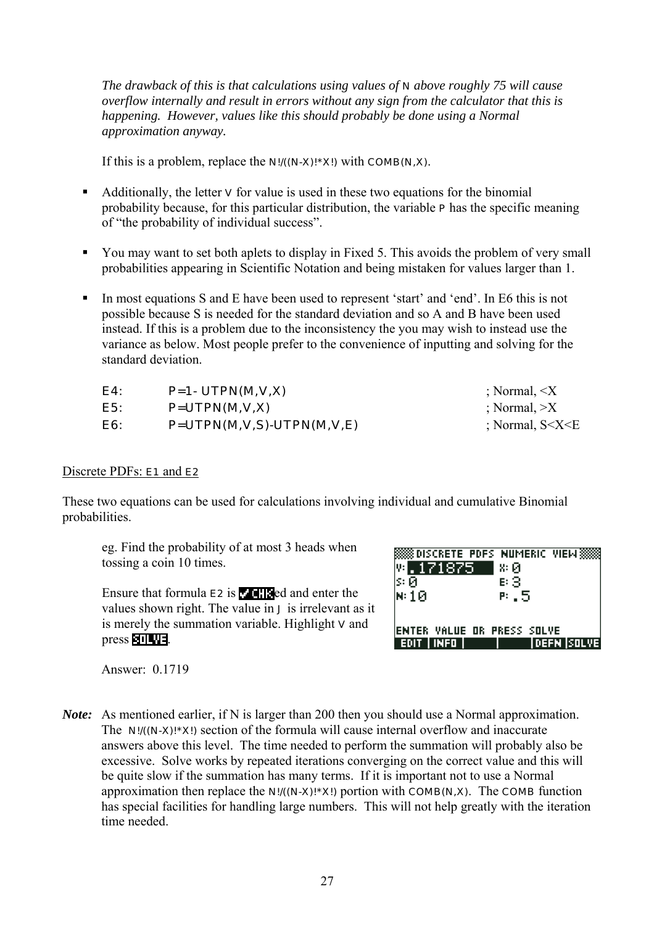*The drawback of this is that calculations using values of N above roughly 75 will cause overflow internally and result in errors without any sign from the calculator that this is happening. However, values like this should probably be done using a Normal approximation anyway.* 

If this is a problem, replace the  $N!/(N-X)! \times N!$  with **COMB(N,X)**.

- Additionally, the letter  $\bf{v}$  for value is used in these two equations for the binomial probability because, for this particular distribution, the variable P has the specific meaning of "the probability of individual success".
- You may want to set both aplets to display in Fixed 5. This avoids the problem of very small probabilities appearing in Scientific Notation and being mistaken for values larger than 1.
- In most equations S and E have been used to represent 'start' and 'end'. In E6 this is not possible because S is needed for the standard deviation and so A and B have been used instead. If this is a problem due to the inconsistency the you may wish to instead use the variance as below. Most people prefer to the convenience of inputting and solving for the standard deviation.

| E4: | $P=1$ - UTPN(M,V,X)         | $\therefore$ Normal, $\leq X$ |
|-----|-----------------------------|-------------------------------|
| E5: | $P=UTPN(M,V,X)$             | $\therefore$ Normal, $\geq X$ |
| E6: | $P=UTPN(M,V,S)-UTPN(M,V,E)$ | : Normal, $S < X < E$         |

#### Discrete PDFs: **E1** and **E2**

These two equations can be used for calculations involving individual and cumulative Binomial probabilities.

eg. Find the probability of at most 3 heads when tossing a coin 10 times.

Ensure that formula  $E2$  is  $\sqrt{118}$ ed and enter the values shown right. The value in J is irrelevant as it is merely the summation variable. Highlight  $v$  and  $pres$  .  $11$   $12$ .

|                             |       | <b>88 DISCRETE PDFS NUMERIC VIEW:</b> |  |
|-----------------------------|-------|---------------------------------------|--|
| 四.171875                    | 8: Ø. |                                       |  |
| ls:छ                        | в 3   |                                       |  |
| $\bowtie$ 10                | P . 5 |                                       |  |
|                             |       |                                       |  |
|                             |       |                                       |  |
| IENTER VALUE OR PRESS SOLVE |       |                                       |  |
| INFO I                      |       | idefn Isolvei                         |  |

Answer: 0.1719

*Note:* As mentioned earlier, if N is larger than 200 then you should use a Normal approximation. The N!/((N-X)!\*X!) section of the formula will cause internal overflow and inaccurate answers above this level. The time needed to perform the summation will probably also be excessive. Solve works by repeated iterations converging on the correct value and this will be quite slow if the summation has many terms. If it is important not to use a Normal approximation then replace the  $N!/(N-1)$ : X!) portion with COMB( $N$ , $X$ ). The COMB function has special facilities for handling large numbers. This will not help greatly with the iteration time needed.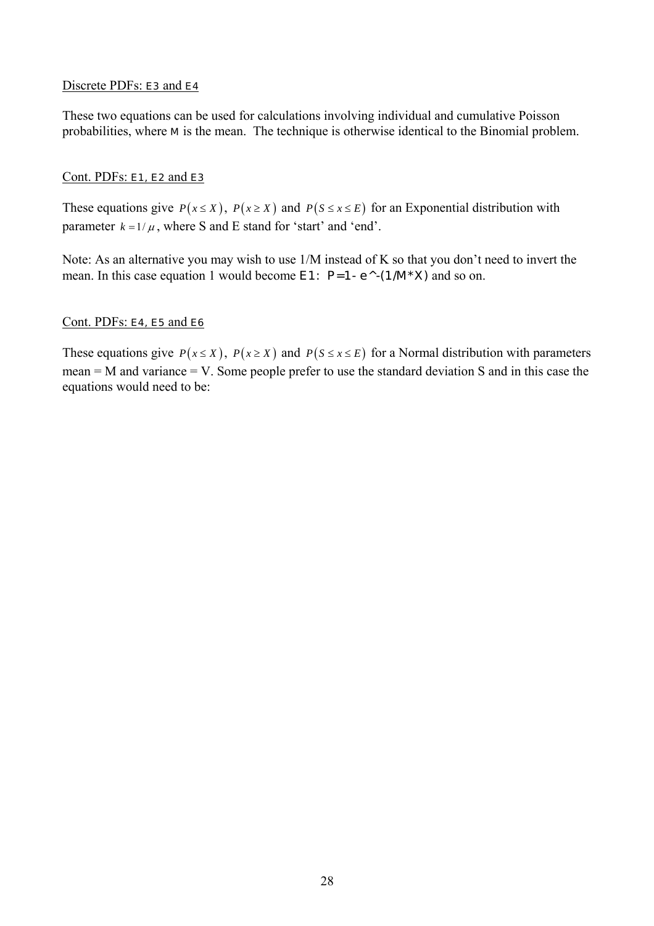#### Discrete PDFs: E3 and E4

These two equations can be used for calculations involving individual and cumulative Poisson probabilities, where M is the mean. The technique is otherwise identical to the Binomial problem.

#### Cont. PDFs: E1, E2 and E3

These equations give  $P(x \leq X)$ ,  $P(x \geq X)$  and  $P(S \leq x \leq E)$  for an Exponential distribution with parameter  $k = 1/\mu$ , where S and E stand for 'start' and 'end'.

Note: As an alternative you may wish to use 1/M instead of K so that you don't need to invert the mean. In this case equation 1 would become  $E1$ :  $P=1$ -  $e^{\Lambda}$ -(1/M\*X) and so on.

#### Cont. PDFs: **E4**, **E5** and **E6**

These equations give  $P(x \leq X)$ ,  $P(x \geq X)$  and  $P(S \leq x \leq E)$  for a Normal distribution with parameters mean = M and variance = V. Some people prefer to use the standard deviation S and in this case the equations would need to be: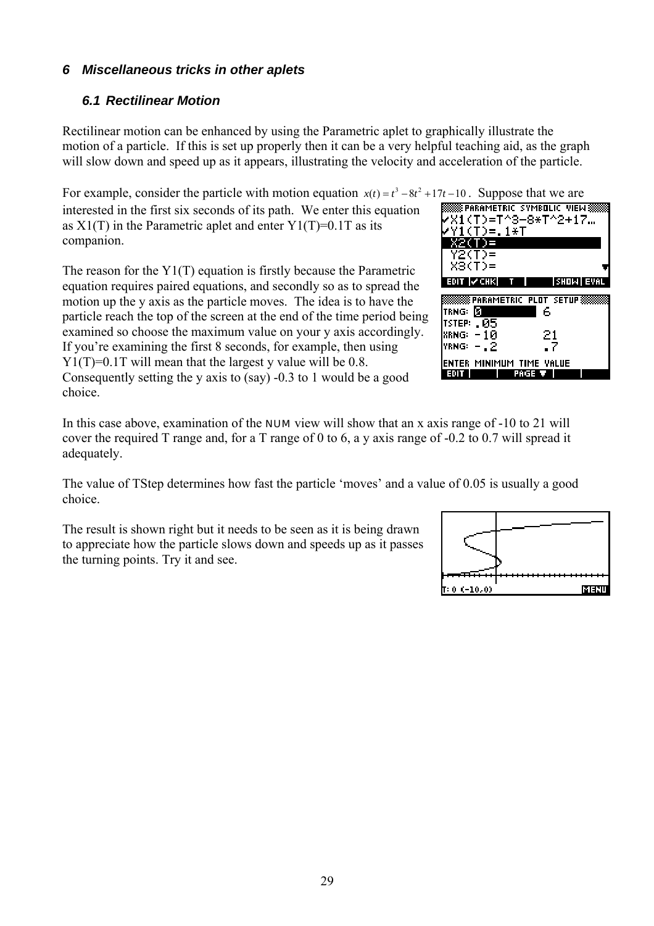#### <span id="page-30-0"></span>*6 Miscellaneous tricks in other aplets*

#### *6.1 Rectilinear Motion*

Rectilinear motion can be enhanced by using the Parametric aplet to graphically illustrate the motion of a particle. If this is set up properly then it can be a very helpful teaching aid, as the graph will slow down and speed up as it appears, illustrating the velocity and acceleration of the particle.

For example, consider the particle with motion equation  $x(t) = t^3 - 8t^2 + 17t - 10$ . Suppose that we are interested in the first six seconds of its path. We enter this equation as  $X1(T)$  in the Parametric aplet and enter  $Y1(T)=0.1T$  as its companion.

The reason for the Y1(T) equation is firstly because the Parametric equation requires paired equations, and secondly so as to spread the motion up the y axis as the particle moves. The idea is to have the particle reach the top of the screen at the end of the time period being examined so choose the maximum value on your y axis accordingly. If you're examining the first 8 seconds, for example, then using Y<sub>1</sub>(T)=0.1T will mean that the largest y value will be 0.8. Consequently setting the y axis to (say) -0.3 to 1 would be a good choice.

 **PARAMETRIC SYMBOLIC VIEW »**  $\sqrt{31}$ (T)=T^3-8\*T^2+17…  $Y1(T)=.1*T$  $X2(T)$  = Y2(T)=  $X3(T) =$ **LA CHIKI** T <u> PARAMETRIC PLOT SETUP</u> trng: [5] - 6 **TSTEP: . 05 XRNG:**  $-10$ 21  $YRNG: -22$ -7 ENTER MINIMUM TIME VALUE **TRAGE T**  $F = 0$ 

In this case above, examination of the **NUM** view will show that an x axis range of -10 to 21 will cover the required T range and, for a T range of 0 to 6, a y axis range of -0.2 to 0.7 will spread it adequately.

The value of TStep determines how fast the particle 'moves' and a value of 0.05 is usually a good choice.

The result is shown right but it needs to be seen as it is being drawn to appreciate how the particle slows down and speeds up as it passes the turning points. Try it and see.

![](_page_30_Figure_9.jpeg)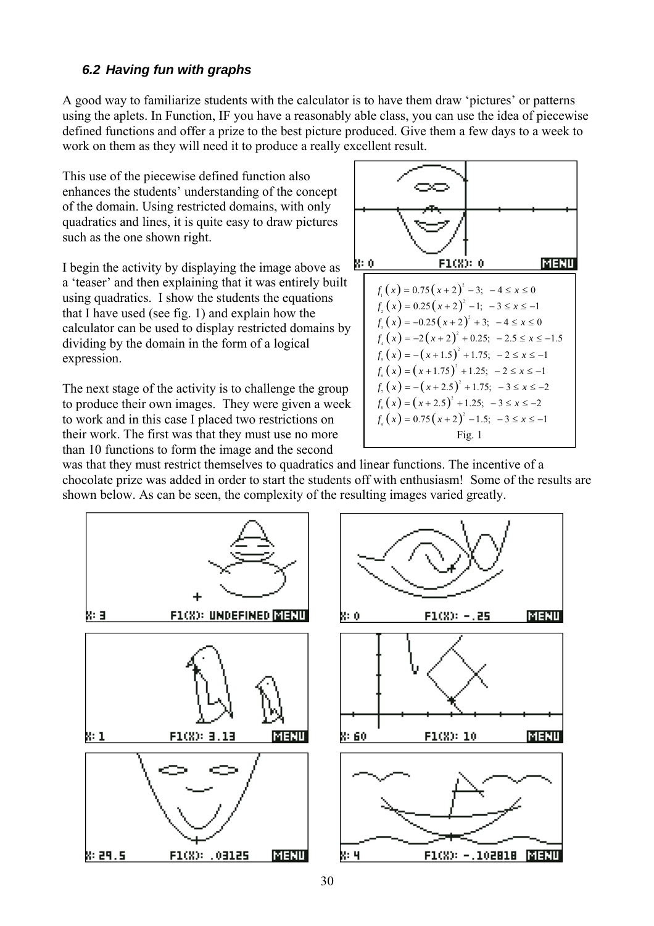#### <span id="page-31-0"></span>*6.2 Having fun with graphs*

A good way to familiarize students with the calculator is to have them draw 'pictures' or patterns using the aplets. In Function, IF you have a reasonably able class, you can use the idea of piecewise defined functions and offer a prize to the best picture produced. Give them a few days to a week to work on them as they will need it to produce a really excellent result.

This use of the piecewise defined function also enhances the students' understanding of the concept of the domain. Using restricted domains, with only quadratics and lines, it is quite easy to draw pictures such as the one shown right.

I begin the activity by displaying the image above as a 'teaser' and then explaining that it was entirely built using quadratics. I show the students the equations that I have used (see fig. 1) and explain how the calculator can be used to display restricted domains by dividing by the domain in the form of a logical expression.

The next stage of the activity is to challenge the group to produce their own images. They were given a week to work and in this case I placed two restrictions on their work. The first was that they must use no more than 10 functions to form the image and the second

![](_page_31_Figure_5.jpeg)

was that they must restrict themselves to quadratics and linear functions. The incentive of a chocolate prize was added in order to start the students off with enthusiasm! Some of the results are shown below. As can be seen, the complexity of the resulting images varied greatly.

![](_page_31_Figure_7.jpeg)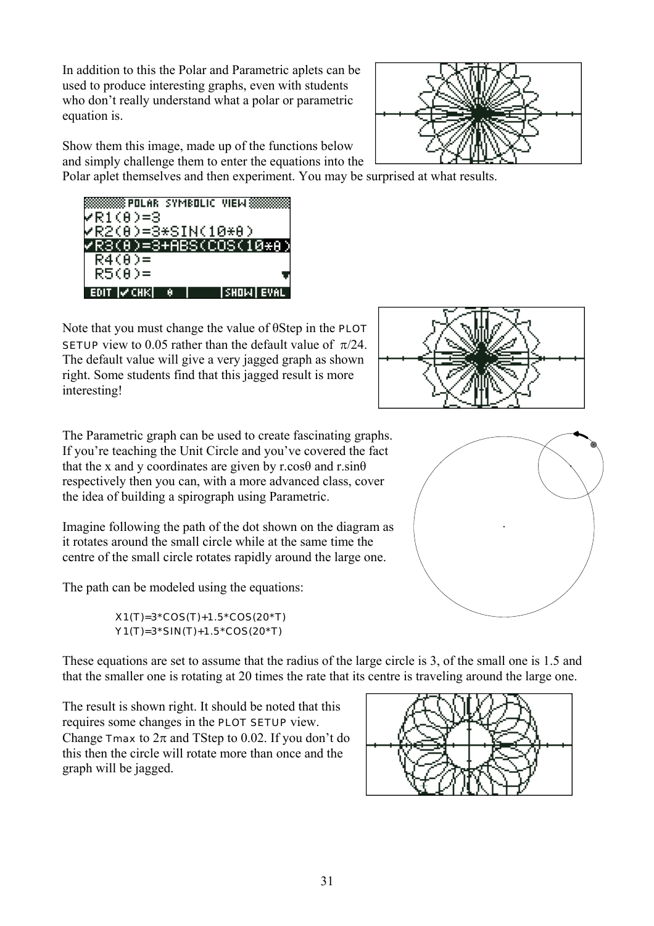In addition to this the Polar and Parametric aplets can be used to produce interesting graphs, even with students who don't really understand what a polar or parametric equation is.

![](_page_32_Picture_1.jpeg)

Show them this image, made up of the functions below and simply challenge them to enter the equations into the

Polar aplet themselves and then experiment. You may be surprised at what results.

![](_page_32_Picture_4.jpeg)

Note that you must change the value of θStep in the PLOT SETUP view to 0.05 rather than the default value of  $\pi/24$ . The default value will give a very jagged graph as shown right. Some students find that this jagged result is more interesting!

![](_page_32_Figure_6.jpeg)

The Parametric graph can be used to create fascinating graphs. If you're teaching the Unit Circle and you've covered the fact that the x and y coordinates are given by r.cos $\theta$  and r.sin $\theta$ respectively then you can, with a more advanced class, cover the idea of building a spirograph using Parametric.

Imagine following the path of the dot shown on the diagram as it rotates around the small circle while at the same time the centre of the small circle rotates rapidly around the large one.

The path can be modeled using the equations:

#### X1(T)=3\*COS(T)+1.5\*COS(20\*T) Y1(T)=3\*SIN(T)+1.5\*COS(20\*T)

These equations are set to assume that the radius of the large circle is 3, of the small one is 1.5 and that the smaller one is rotating at 20 times the rate that its centre is traveling around the large one.

The result is shown right. It should be noted that this requires some changes in the PLOT SETUP view. Change  $\text{Trans}$  to  $2\pi$  and TStep to 0.02. If you don't do this then the circle will rotate more than once and the graph will be jagged.

![](_page_32_Figure_13.jpeg)

![](_page_32_Picture_14.jpeg)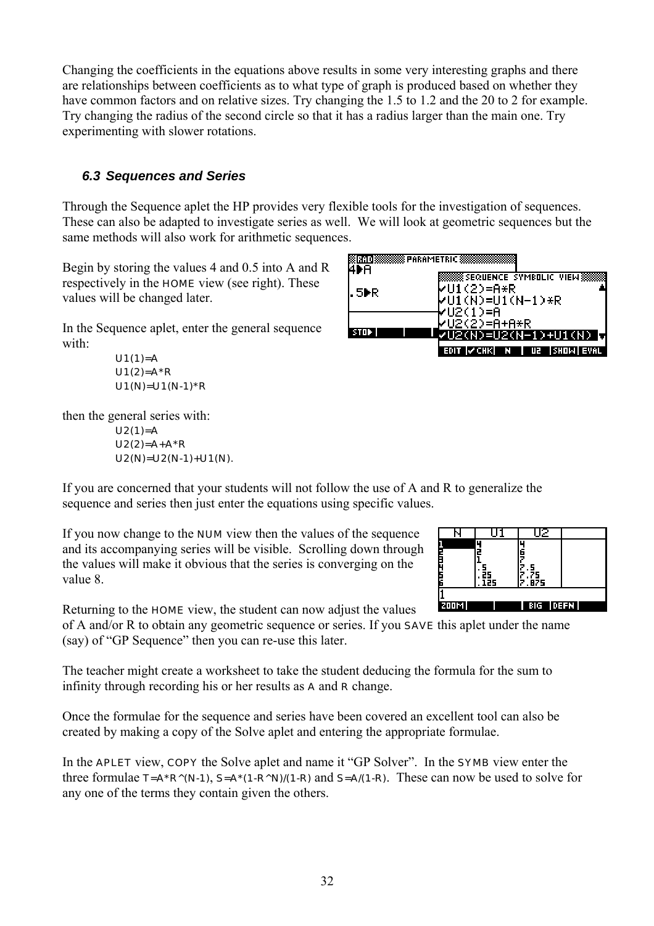<span id="page-33-0"></span>Changing the coefficients in the equations above results in some very interesting graphs and there are relationships between coefficients as to what type of graph is produced based on whether they have common factors and on relative sizes. Try changing the 1.5 to 1.2 and the 20 to 2 for example. Try changing the radius of the second circle so that it has a radius larger than the main one. Try experimenting with slower rotations.

#### *6.3 Sequences and Series*

Through the Sequence aplet the HP provides very flexible tools for the investigation of sequences. These can also be adapted to investigate series as well. We will look at geometric sequences but the same methods will also work for arithmetic sequences.

Begin by storing the values 4 and 0.5 into A and R respectively in the HOME view (see right). These values will be changed later.

In the Sequence aplet, enter the general sequence with:

U1(1)=A U1(2)=A\*R U1(N)=U1(N-1)\*R

then the general series with:

 $U2(1)=A$  $U2(2)=A+A^*R$  $U2(N)=U2(N-1)+U1(N)$ .

![](_page_33_Figure_8.jpeg)

If you are concerned that your students will not follow the use of A and R to generalize the sequence and series then just enter the equations using specific values.

If you now change to the NUM view then the values of the sequence and its accompanying series will be visible. Scrolling down through the values will make it obvious that the series is converging on the value 8.

Returning to the HOME view, the student can now adjust the values

of A and/or R to obtain any geometric sequence or series. If you SAVE this aplet under the name (say) of "GP Sequence" then you can re-use this later.

The teacher might create a worksheet to take the student deducing the formula for the sum to infinity through recording his or her results as A and R change.

Once the formulae for the sequence and series have been covered an excellent tool can also be created by making a copy of the Solve aplet and entering the appropriate formulae.

In the **APLET** view, **COPY** the Solve aplet and name it "GP Solver". In the **SYMB** view enter the three formulae  $T = A^*R^(N-1)$ ,  $S = A^*(1-R^N)/(1-R)$  and  $S = A/(1-R)$ . These can now be used to solve for any one of the terms they contain given the others.

![](_page_33_Figure_16.jpeg)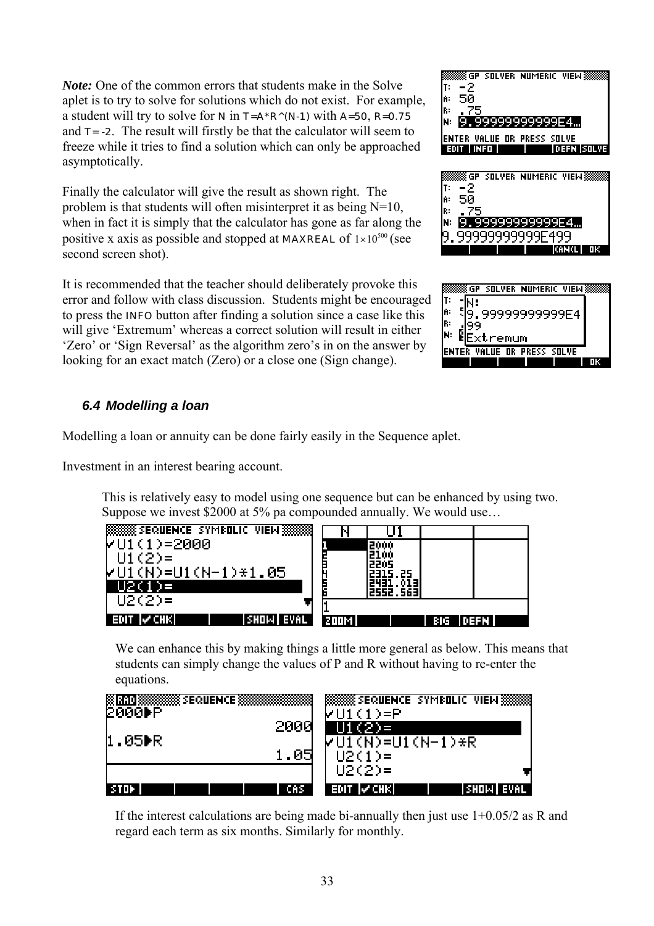<span id="page-34-0"></span>*Note:* One of the common errors that students make in the Solve aplet is to try to solve for solutions which do not exist. For example, a student will try to solve for  $N$  in  $T = A^*R^(N-1)$  with  $A=50$ ,  $R=0.75$ and  $T = -2$ . The result will firstly be that the calculator will seem to freeze while it tries to find a solution which can only be approached asymptotically.

Finally the calculator will give the result as shown right. The problem is that students will often misinterpret it as being N=10, when in fact it is simply that the calculator has gone as far along the positive x axis as possible and stopped at **MAXREAL** of  $1 \times 10^{500}$  (see second screen shot).

It is recommended that the teacher should deliberately provoke this error and follow with class discussion. Students might be encouraged to press the INFO button after finding a solution since a case like this will give 'Extremum' whereas a correct solution will result in either 'Zero' or 'Sign Reversal' as the algorithm zero's in on the answer by looking for an exact match (Zero) or a close one (Sign change).

#### ÅGP SOLVER NUMERIC VIEW**§** -2 T. 50 Ĥ. 99999999999F4… 'ER VALUE OR PRESS SOLVE **Emre Marie II** i deeni isotwe <u>SGP SOLVER NUMERIC VIEW</u>

![](_page_34_Picture_4.jpeg)

![](_page_34_Picture_5.jpeg)

## *6.4 Modelling a loan*

Modelling a loan or annuity can be done fairly easily in the Sequence aplet.

Investment in an interest bearing account.

This is relatively easy to model using one sequence but can be enhanced by using two. Suppose we invest \$2000 at 5% pa compounded annually. We would use…

![](_page_34_Figure_10.jpeg)

We can enhance this by making things a little more general as below. This means that students can simply change the values of P and R without having to re-enter the equations.

| EEEEEEEE SEQUENCE EEEEEEEEE | <b>BOOKS SEQUENCE SYMBOLIC VIEW BOOKS</b>   |
|-----------------------------|---------------------------------------------|
| 12000⊫P                     | MH (1)≡P                                    |
| 2000                        | $U1(2) =$                                   |
| II.05▶R                     | $VUI(N)=UI(N-1)*R$                          |
| 1.05                        | $U2(1)$ =                                   |
| CAS                         | $U2(2) =$<br><b>EDIT VCHK</b><br> SHOW EVAL |

If the interest calculations are being made bi-annually then just use  $1+0.05/2$  as R and regard each term as six months. Similarly for monthly.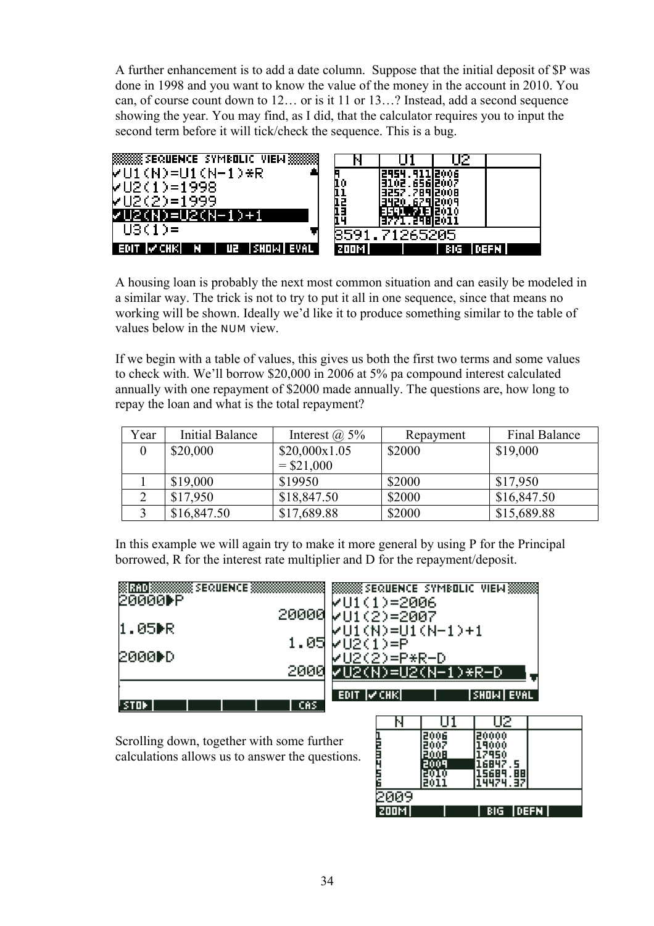A further enhancement is to add a date column. Suppose that the initial deposit of \$P was done in 1998 and you want to know the value of the money in the account in 2010. You can, of course count down to 12… or is it 11 or 13…? Instead, add a second sequence showing the year. You may find, as I did, that the calculator requires you to input the second term before it will tick/check the sequence. This is a bug.

![](_page_35_Figure_1.jpeg)

A housing loan is probably the next most common situation and can easily be modeled in a similar way. The trick is not to try to put it all in one sequence, since that means no working will be shown. Ideally we'd like it to produce something similar to the table of values below in the NUM view.

If we begin with a table of values, this gives us both the first two terms and some values to check with. We'll borrow \$20,000 in 2006 at 5% pa compound interest calculated annually with one repayment of \$2000 made annually. The questions are, how long to repay the loan and what is the total repayment?

| Year | Initial Balance | Interest $(a)$ 5% | Repayment | <b>Final Balance</b> |
|------|-----------------|-------------------|-----------|----------------------|
|      | \$20,000        | \$20,000x1.05     | \$2000    | \$19,000             |
|      |                 | $=$ \$21,000      |           |                      |
|      | \$19,000        | \$19950           | \$2000    | \$17,950             |
|      | \$17,950        | \$18,847.50       | \$2000    | \$16,847.50          |
|      | \$16,847.50     | \$17,689.88       | \$2000    | \$15,689.88          |

In this example we will again try to make it more general by using P for the Principal borrowed, R for the interest rate multiplier and D for the repayment/deposit.

| 20000▶P<br>$VU1(1)=2006$<br>20000 VU1(2)=2007<br>II.05DR<br>$VUI(N)=UI(N-1)+1$<br>$1.05$ $VU2(1)=P$ |
|-----------------------------------------------------------------------------------------------------|
|                                                                                                     |
|                                                                                                     |
|                                                                                                     |
| 2000▶D.<br>1∨U2(2)=P*R-D                                                                            |
| 2000<br>7U2(N)=U2(N-1)*R-D                                                                          |
| <b>EDIT V CHK</b><br><b>SHOW EVAL</b>                                                               |
| CAS.                                                                                                |

Scrolling down, together with some further calculations allows us to answer the questions.

| N     |              | 72            |  |  |  |
|-------|--------------|---------------|--|--|--|
|       | 2006         | 20000         |  |  |  |
|       | 2008         | 9000<br>17950 |  |  |  |
|       |              | 16847.5       |  |  |  |
|       |              | 5689<br>88    |  |  |  |
|       |              | 424<br>197    |  |  |  |
| 2009  |              |               |  |  |  |
| 200M) | BIG<br> DEFN |               |  |  |  |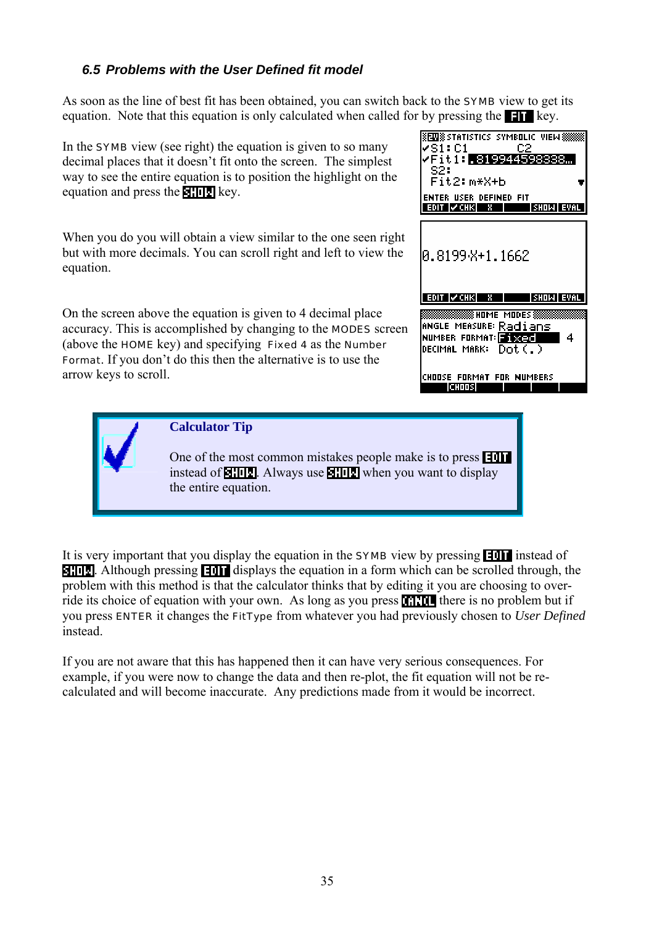#### <span id="page-36-0"></span>*6.5 Problems with the User Defined fit model*

As soon as the line of best fit has been obtained, you can switch back to the SYMB view to get its equation. Note that this equation is only calculated when called for by pressing the  $\blacksquare$  key.

In the **SYMB** view (see right) the equation is given to so many decimal places that it doesn't fit onto the screen. The simplest way to see the entire equation is to position the highlight on the equation and press the **key**.

When you do you will obtain a view similar to the one seen right but with more decimals. You can scroll right and left to view the equation.

On the screen above the equation is given to 4 decimal place accuracy. This is accomplished by changing to the MODES screen (above the HOME key) and specifying Fixed 4 as the Number Format. If you don't do this then the alternative is to use the arrow keys to scroll.

![](_page_36_Picture_5.jpeg)

![](_page_36_Picture_6.jpeg)

**Calculator Tip**

One of the most common mistakes people make is to press instead of  $\frac{1}{2}$ . Always use  $\frac{1}{2}$  when you want to display the entire equation.

It is very important that you display the equation in the **SYMB** view by pressing **Fight** instead of  $\Box$ . Although pressing  $\Box$  displays the equation in a form which can be scrolled through, the problem with this method is that the calculator thinks that by editing it you are choosing to override its choice of equation with your own. As long as you press **THE there** is no problem but if you press ENTER it changes the FitType from whatever you had previously chosen to *User Defined* instead.

If you are not aware that this has happened then it can have very serious consequences. For example, if you were now to change the data and then re-plot, the fit equation will not be recalculated and will become inaccurate. Any predictions made from it would be incorrect.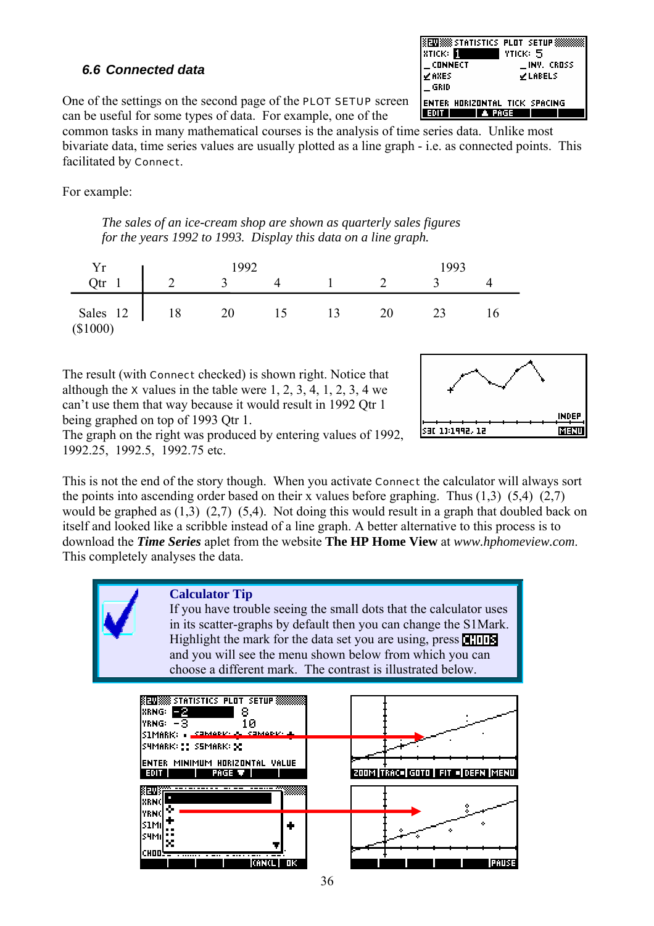#### <span id="page-37-0"></span>*6.6 Connected data*

**XENIXXX** STATISTICS PLOT SETUP**X STICK:** YTICK: 5  $\_$  CONNECT \_INV. CROSS **⊻LABELS ⊻AXES** GRID **ENTER HORIZONTAL TICK SPACING**  $\blacksquare$  extra  $\blacksquare$ **A PAGE I** 

One of the settings on the second page of the PLOT SETUP screen can be useful for some types of data. For example, one of the

common tasks in many mathematical courses is the analysis of time series data. Unlike most bivariate data, time series values are usually plotted as a line graph - i.e. as connected points. This facilitated by Connect.

For example:

*The sales of an ice-cream shop are shown as quarterly sales figures for the years 1992 to 1993. Display this data on a line graph.* 

| Yr                     |            | 1992 |   |  | 1993         |    |    |
|------------------------|------------|------|---|--|--------------|----|----|
| Qtr                    | $\sqrt{2}$ |      |   |  |              |    |    |
| Sales 12<br>$(\$1000)$ | 18         | ∠∪   | ◡ |  | $20^{\circ}$ | 24 | 16 |

The result (with Connect checked) is shown right. Notice that although the  $x$  values in the table were 1, 2, 3, 4, 1, 2, 3, 4 we can't use them that way because it would result in 1992 Qtr 1 being graphed on top of 1993 Qtr 1.

![](_page_37_Figure_8.jpeg)

The graph on the right was produced by entering values of 1992, 1992.25, 1992.5, 1992.75 etc.

This is not the end of the story though. When you activate Connect the calculator will always sort the points into ascending order based on their x values before graphing. Thus  $(1,3)$   $(5,4)$   $(2,7)$ would be graphed as (1,3) (2,7) (5,4). Not doing this would result in a graph that doubled back on itself and looked like a scribble instead of a line graph. A better alternative to this process is to download the *Time Series* aplet from the website **The HP Home View** at *www.hphomeview.com*. This completely analyses the data.

![](_page_37_Picture_11.jpeg)

![](_page_37_Figure_12.jpeg)